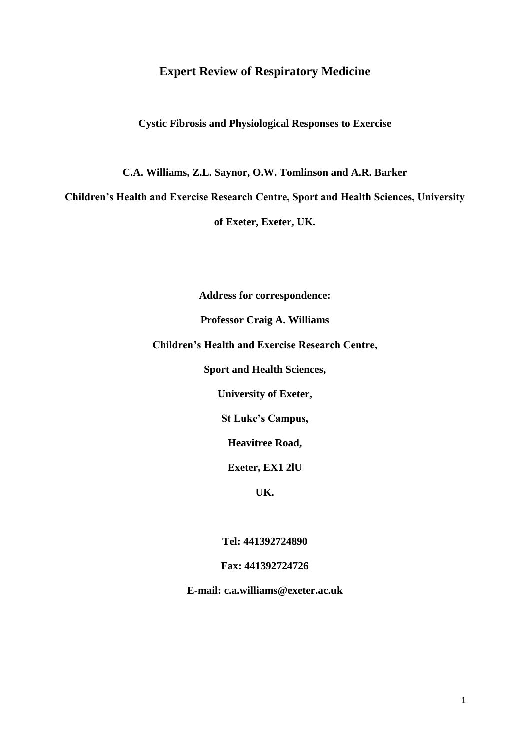# **Expert Review of Respiratory Medicine**

**Cystic Fibrosis and Physiological Responses to Exercise**

**C.A. Williams, Z.L. Saynor, O.W. Tomlinson and A.R. Barker**

**Children's Health and Exercise Research Centre, Sport and Health Sciences, University** 

**of Exeter, Exeter, UK.**

**Address for correspondence:**

**Professor Craig A. Williams**

**Children's Health and Exercise Research Centre,** 

**Sport and Health Sciences,** 

**University of Exeter,** 

**St Luke's Campus,** 

**Heavitree Road,** 

**Exeter, EX1 2lU**

**UK.**

**Tel: 441392724890**

# **Fax: 441392724726**

**E-mail: c.a.williams@exeter.ac.uk**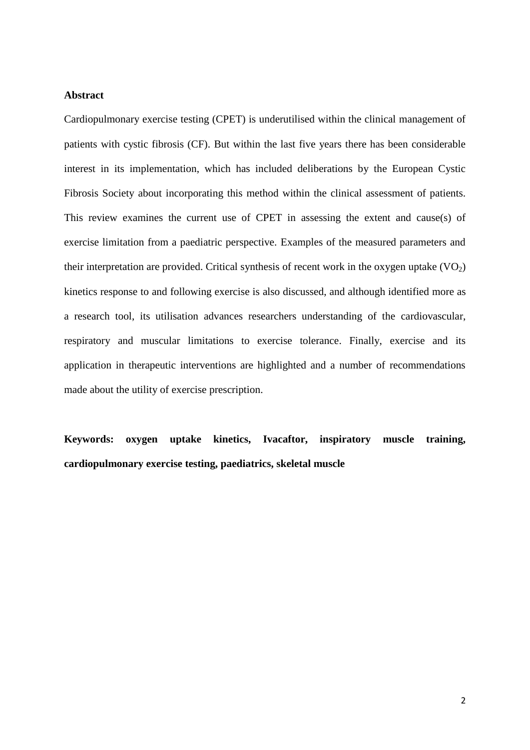# **Abstract**

Cardiopulmonary exercise testing (CPET) is underutilised within the clinical management of patients with cystic fibrosis (CF). But within the last five years there has been considerable interest in its implementation, which has included deliberations by the European Cystic Fibrosis Society about incorporating this method within the clinical assessment of patients. This review examines the current use of CPET in assessing the extent and cause(s) of exercise limitation from a paediatric perspective. Examples of the measured parameters and their interpretation are provided. Critical synthesis of recent work in the oxygen uptake  $(VO<sub>2</sub>)$ kinetics response to and following exercise is also discussed, and although identified more as a research tool, its utilisation advances researchers understanding of the cardiovascular, respiratory and muscular limitations to exercise tolerance. Finally, exercise and its application in therapeutic interventions are highlighted and a number of recommendations made about the utility of exercise prescription.

**Keywords: oxygen uptake kinetics, Ivacaftor, inspiratory muscle training, cardiopulmonary exercise testing, paediatrics, skeletal muscle**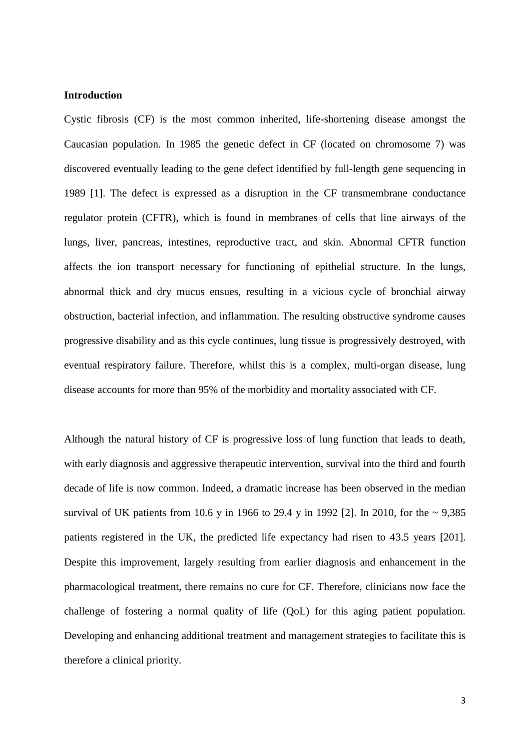## **Introduction**

Cystic fibrosis (CF) is the most common inherited, life-shortening disease amongst the Caucasian population. In 1985 the genetic defect in CF (located on chromosome 7) was discovered eventually leading to the gene defect identified by full-length gene sequencing in 1989 [1]. The defect is expressed as a disruption in the CF transmembrane conductance regulator protein (CFTR), which is found in membranes of cells that line airways of the lungs, liver, pancreas, intestines, reproductive tract, and skin. Abnormal CFTR function affects the ion transport necessary for functioning of epithelial structure. In the lungs, abnormal thick and dry mucus ensues, resulting in a vicious cycle of bronchial airway obstruction, bacterial infection, and inflammation. The resulting obstructive syndrome causes progressive disability and as this cycle continues, lung tissue is progressively destroyed, with eventual respiratory failure. Therefore, whilst this is a complex, multi-organ disease, lung disease accounts for more than 95% of the morbidity and mortality associated with CF.

Although the natural history of CF is progressive loss of lung function that leads to death, with early diagnosis and aggressive therapeutic intervention, survival into the third and fourth decade of life is now common. Indeed, a dramatic increase has been observed in the median survival of UK patients from 10.6 y in 1966 to 29.4 y in 1992 [2]. In 2010, for the  $\sim 9,385$ patients registered in the UK, the predicted life expectancy had risen to 43.5 years [201]. Despite this improvement, largely resulting from earlier diagnosis and enhancement in the pharmacological treatment, there remains no cure for CF. Therefore, clinicians now face the challenge of fostering a normal quality of life (QoL) for this aging patient population. Developing and enhancing additional treatment and management strategies to facilitate this is therefore a clinical priority.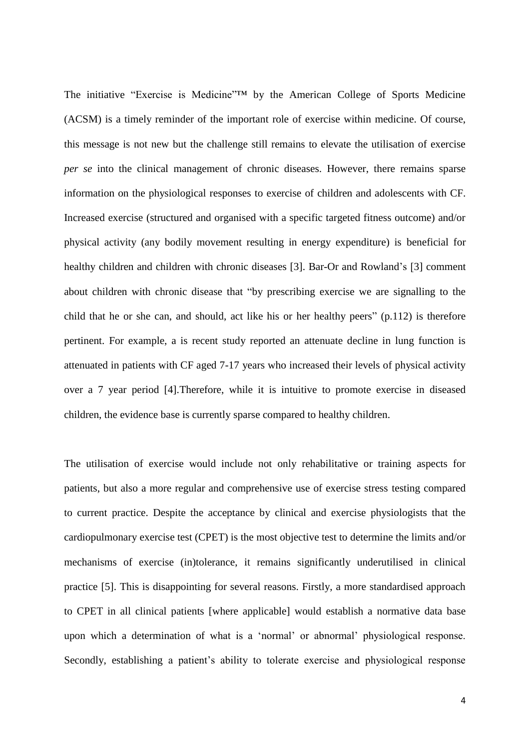The initiative "Exercise is Medicine"™ by the American College of Sports Medicine (ACSM) is a timely reminder of the important role of exercise within medicine. Of course, this message is not new but the challenge still remains to elevate the utilisation of exercise *per se* into the clinical management of chronic diseases. However, there remains sparse information on the physiological responses to exercise of children and adolescents with CF. Increased exercise (structured and organised with a specific targeted fitness outcome) and/or physical activity (any bodily movement resulting in energy expenditure) is beneficial for healthy children and children with chronic diseases [3]. Bar-Or and Rowland's [3] comment about children with chronic disease that "by prescribing exercise we are signalling to the child that he or she can, and should, act like his or her healthy peers" (p.112) is therefore pertinent. For example, a is recent study reported an attenuate decline in lung function is attenuated in patients with CF aged 7-17 years who increased their levels of physical activity over a 7 year period [4].Therefore, while it is intuitive to promote exercise in diseased children, the evidence base is currently sparse compared to healthy children.

The utilisation of exercise would include not only rehabilitative or training aspects for patients, but also a more regular and comprehensive use of exercise stress testing compared to current practice. Despite the acceptance by clinical and exercise physiologists that the cardiopulmonary exercise test (CPET) is the most objective test to determine the limits and/or mechanisms of exercise (in)tolerance, it remains significantly underutilised in clinical practice [5]. This is disappointing for several reasons. Firstly, a more standardised approach to CPET in all clinical patients [where applicable] would establish a normative data base upon which a determination of what is a 'normal' or abnormal' physiological response. Secondly, establishing a patient's ability to tolerate exercise and physiological response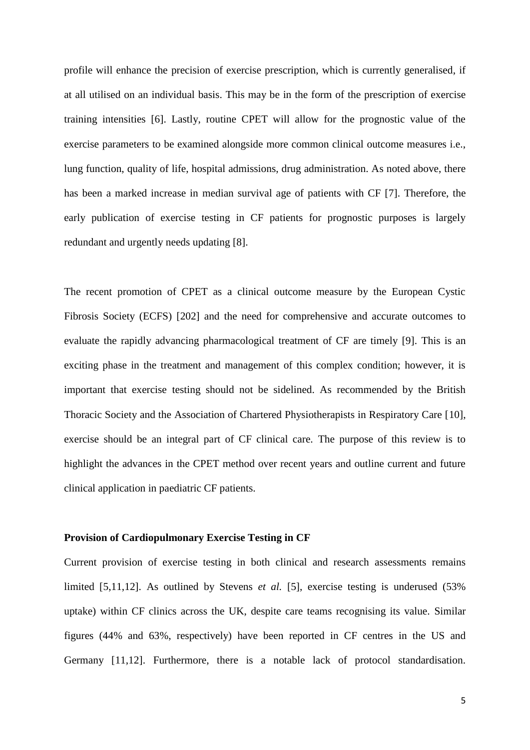profile will enhance the precision of exercise prescription, which is currently generalised, if at all utilised on an individual basis. This may be in the form of the prescription of exercise training intensities [6]. Lastly, routine CPET will allow for the prognostic value of the exercise parameters to be examined alongside more common clinical outcome measures i.e., lung function, quality of life, hospital admissions, drug administration. As noted above, there has been a marked increase in median survival age of patients with CF [7]. Therefore, the early publication of exercise testing in CF patients for prognostic purposes is largely redundant and urgently needs updating [8].

The recent promotion of CPET as a clinical outcome measure by the European Cystic Fibrosis Society (ECFS) [202] and the need for comprehensive and accurate outcomes to evaluate the rapidly advancing pharmacological treatment of CF are timely [9]. This is an exciting phase in the treatment and management of this complex condition; however, it is important that exercise testing should not be sidelined. As recommended by the British Thoracic Society and the Association of Chartered Physiotherapists in Respiratory Care [10], exercise should be an integral part of CF clinical care. The purpose of this review is to highlight the advances in the CPET method over recent years and outline current and future clinical application in paediatric CF patients.

### **Provision of Cardiopulmonary Exercise Testing in CF**

Current provision of exercise testing in both clinical and research assessments remains limited [5,11,12]. As outlined by Stevens *et al.* [5], exercise testing is underused (53%) uptake) within CF clinics across the UK, despite care teams recognising its value. Similar figures (44% and 63%, respectively) have been reported in CF centres in the US and Germany [11,12]. Furthermore, there is a notable lack of protocol standardisation.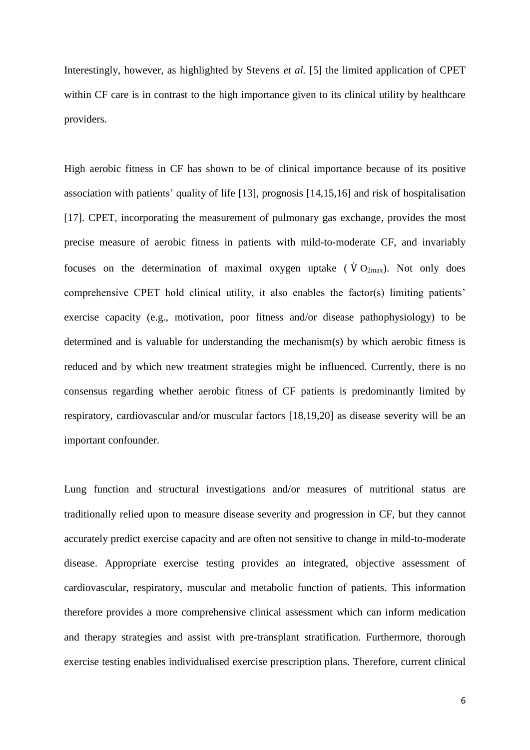Interestingly, however, as highlighted by Stevens *et al.* [5] the limited application of CPET within CF care is in contrast to the high importance given to its clinical utility by healthcare providers.

High aerobic fitness in CF has shown to be of clinical importance because of its positive association with patients' quality of life [13], prognosis [14,15,16] and risk of hospitalisation [17]. CPET, incorporating the measurement of pulmonary gas exchange, provides the most precise measure of aerobic fitness in patients with mild-to-moderate CF, and invariably focuses on the determination of maximal oxygen uptake ( $\dot{V}O_{2\text{max}}$ ). Not only does comprehensive CPET hold clinical utility, it also enables the factor(s) limiting patients' exercise capacity (e.g., motivation, poor fitness and/or disease pathophysiology) to be determined and is valuable for understanding the mechanism(s) by which aerobic fitness is reduced and by which new treatment strategies might be influenced. Currently, there is no consensus regarding whether aerobic fitness of CF patients is predominantly limited by respiratory, cardiovascular and/or muscular factors [18,19,20] as disease severity will be an important confounder.

Lung function and structural investigations and/or measures of nutritional status are traditionally relied upon to measure disease severity and progression in CF, but they cannot accurately predict exercise capacity and are often not sensitive to change in mild-to-moderate disease. Appropriate exercise testing provides an integrated, objective assessment of cardiovascular, respiratory, muscular and metabolic function of patients. This information therefore provides a more comprehensive clinical assessment which can inform medication and therapy strategies and assist with pre-transplant stratification. Furthermore, thorough exercise testing enables individualised exercise prescription plans. Therefore, current clinical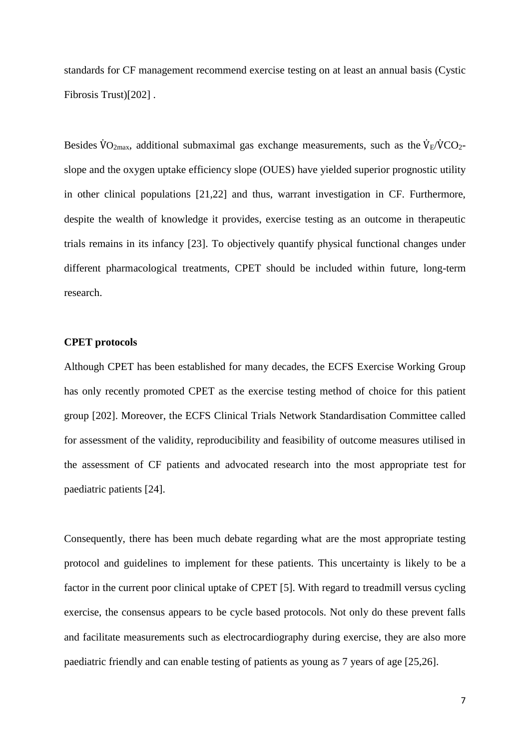standards for CF management recommend exercise testing on at least an annual basis (Cystic Fibrosis Trust)[202] .

Besides  $\rm\ddot{V}O_{2max}$ , additional submaximal gas exchange measurements, such as the  $\rm\ddot{V}_{E}/\dot{V}CO_{2}$ slope and the oxygen uptake efficiency slope (OUES) have yielded superior prognostic utility in other clinical populations [21,22] and thus, warrant investigation in CF. Furthermore, despite the wealth of knowledge it provides, exercise testing as an outcome in therapeutic trials remains in its infancy [23]. To objectively quantify physical functional changes under different pharmacological treatments, CPET should be included within future, long-term research.

## **CPET protocols**

Although CPET has been established for many decades, the ECFS Exercise Working Group has only recently promoted CPET as the exercise testing method of choice for this patient group [202]. Moreover, the ECFS Clinical Trials Network Standardisation Committee called for assessment of the validity, reproducibility and feasibility of outcome measures utilised in the assessment of CF patients and advocated research into the most appropriate test for paediatric patients [24].

Consequently, there has been much debate regarding what are the most appropriate testing protocol and guidelines to implement for these patients. This uncertainty is likely to be a factor in the current poor clinical uptake of CPET [5]. With regard to treadmill versus cycling exercise, the consensus appears to be cycle based protocols. Not only do these prevent falls and facilitate measurements such as electrocardiography during exercise, they are also more paediatric friendly and can enable testing of patients as young as 7 years of age [25,26].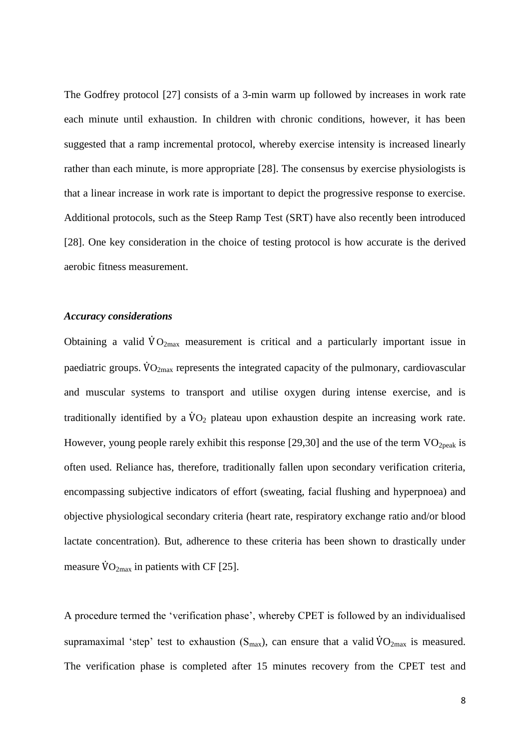The Godfrey protocol [27] consists of a 3-min warm up followed by increases in work rate each minute until exhaustion. In children with chronic conditions, however, it has been suggested that a ramp incremental protocol, whereby exercise intensity is increased linearly rather than each minute, is more appropriate [28]. The consensus by exercise physiologists is that a linear increase in work rate is important to depict the progressive response to exercise. Additional protocols, such as the Steep Ramp Test (SRT) have also recently been introduced [28]. One key consideration in the choice of testing protocol is how accurate is the derived aerobic fitness measurement.

## *Accuracy considerations*

Obtaining a valid  $\dot{V}O_{2\text{max}}$  measurement is critical and a particularly important issue in paediatric groups.  $\dot{V}O_{2\text{max}}$  represents the integrated capacity of the pulmonary, cardiovascular and muscular systems to transport and utilise oxygen during intense exercise, and is traditionally identified by a  $\dot{V}O<sub>2</sub>$  plateau upon exhaustion despite an increasing work rate. However, young people rarely exhibit this response [29,30] and the use of the term  $VO_{2\text{peak}}$  is often used. Reliance has, therefore, traditionally fallen upon secondary verification criteria, encompassing subjective indicators of effort (sweating, facial flushing and hyperpnoea) and objective physiological secondary criteria (heart rate, respiratory exchange ratio and/or blood lactate concentration). But, adherence to these criteria has been shown to drastically under measure  $\rm \dot{V}O_{2max}$  in patients with CF [25].

A procedure termed the 'verification phase', whereby CPET is followed by an individualised supramaximal 'step' test to exhaustion ( $S_{\text{max}}$ ), can ensure that a valid  $\rm{VO}_{2\text{max}}$  is measured. The verification phase is completed after 15 minutes recovery from the CPET test and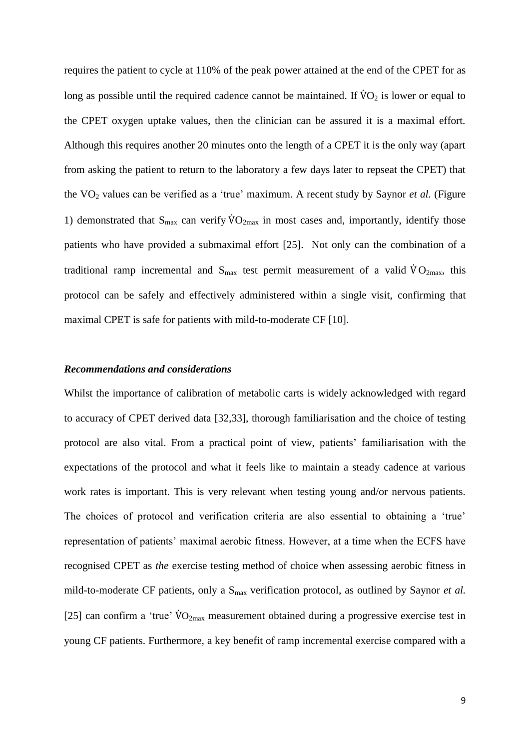requires the patient to cycle at 110% of the peak power attained at the end of the CPET for as long as possible until the required cadence cannot be maintained. If  $\dot{V}O_2$  is lower or equal to the CPET oxygen uptake values, then the clinician can be assured it is a maximal effort. Although this requires another 20 minutes onto the length of a CPET it is the only way (apart from asking the patient to return to the laboratory a few days later to repseat the CPET) that the VO<sup>2</sup> values can be verified as a 'true' maximum. A recent study by Saynor *et al.* (Figure 1) demonstrated that  $S_{\text{max}}$  can verify  $\rm \dot{V}O_{2max}$  in most cases and, importantly, identify those patients who have provided a submaximal effort [25]. Not only can the combination of a traditional ramp incremental and  $S_{\text{max}}$  test permit measurement of a valid  $\dot{V}O_{2\text{max}}$ , this protocol can be safely and effectively administered within a single visit, confirming that maximal CPET is safe for patients with mild-to-moderate CF [10].

# *Recommendations and considerations*

Whilst the importance of calibration of metabolic carts is widely acknowledged with regard to accuracy of CPET derived data [32,33], thorough familiarisation and the choice of testing protocol are also vital. From a practical point of view, patients' familiarisation with the expectations of the protocol and what it feels like to maintain a steady cadence at various work rates is important. This is very relevant when testing young and/or nervous patients. The choices of protocol and verification criteria are also essential to obtaining a 'true' representation of patients' maximal aerobic fitness. However, at a time when the ECFS have recognised CPET as *the* exercise testing method of choice when assessing aerobic fitness in mild-to-moderate CF patients, only a S<sub>max</sub> verification protocol, as outlined by Saynor *et al.* [25] can confirm a 'true'  $\rm\ddot{V}O_{2max}$  measurement obtained during a progressive exercise test in young CF patients. Furthermore, a key benefit of ramp incremental exercise compared with a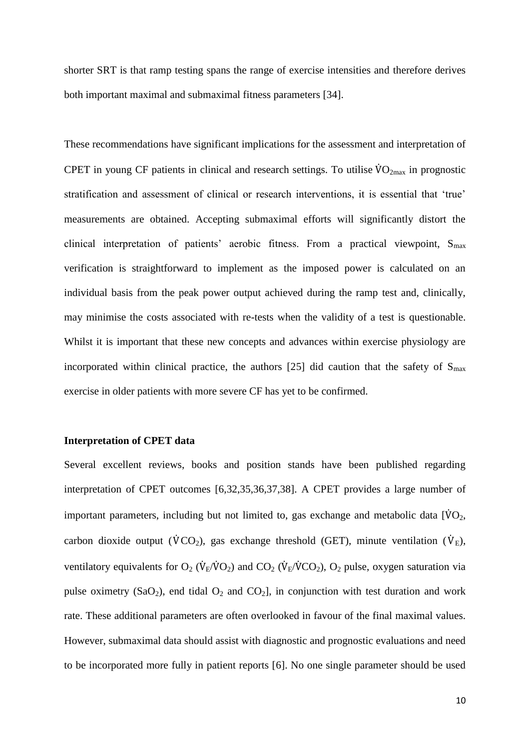shorter SRT is that ramp testing spans the range of exercise intensities and therefore derives both important maximal and submaximal fitness parameters [34].

These recommendations have significant implications for the assessment and interpretation of CPET in young CF patients in clinical and research settings. To utilise  $\rm{VO}_{2max}$  in prognostic stratification and assessment of clinical or research interventions, it is essential that 'true' measurements are obtained. Accepting submaximal efforts will significantly distort the clinical interpretation of patients' aerobic fitness. From a practical viewpoint,  $S_{\text{max}}$ verification is straightforward to implement as the imposed power is calculated on an individual basis from the peak power output achieved during the ramp test and, clinically, may minimise the costs associated with re-tests when the validity of a test is questionable. Whilst it is important that these new concepts and advances within exercise physiology are incorporated within clinical practice, the authors [25] did caution that the safety of  $S_{\text{max}}$ exercise in older patients with more severe CF has yet to be confirmed.

### **Interpretation of CPET data**

Several excellent reviews, books and position stands have been published regarding interpretation of CPET outcomes [6,32,35,36,37,38]. A CPET provides a large number of important parameters, including but not limited to, gas exchange and metabolic data  $\dot{[VO_2]}$ , carbon dioxide output ( $\dot{V}CO_2$ ), gas exchange threshold (GET), minute ventilation ( $\dot{V}_E$ ), ventilatory equivalents for  $O_2$  ( $\dot{V}_{E}/\dot{V}O_2$ ) and  $CO_2$  ( $\dot{V}_{E}/\dot{V}CO_2$ ),  $O_2$  pulse, oxygen saturation via pulse oximetry (SaO<sub>2</sub>), end tidal  $O_2$  and CO<sub>2</sub>], in conjunction with test duration and work rate. These additional parameters are often overlooked in favour of the final maximal values. However, submaximal data should assist with diagnostic and prognostic evaluations and need to be incorporated more fully in patient reports [6]. No one single parameter should be used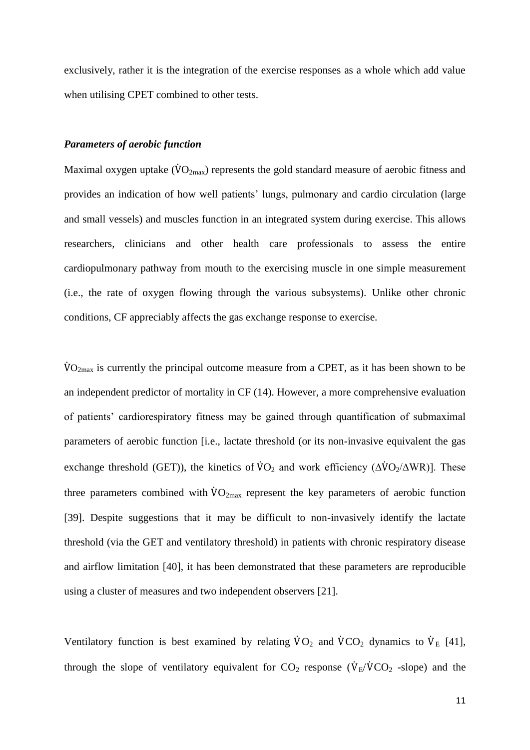exclusively, rather it is the integration of the exercise responses as a whole which add value when utilising CPET combined to other tests.

## *Parameters of aerobic function*

Maximal oxygen uptake ( $\rm \ddot{VO}_{2max}$ ) represents the gold standard measure of aerobic fitness and provides an indication of how well patients' lungs, pulmonary and cardio circulation (large and small vessels) and muscles function in an integrated system during exercise. This allows researchers, clinicians and other health care professionals to assess the entire cardiopulmonary pathway from mouth to the exercising muscle in one simple measurement (i.e., the rate of oxygen flowing through the various subsystems). Unlike other chronic conditions, CF appreciably affects the gas exchange response to exercise.

 $\rm \dot{VO}_{2max}$  is currently the principal outcome measure from a CPET, as it has been shown to be an independent predictor of mortality in CF (14). However, a more comprehensive evaluation of patients' cardiorespiratory fitness may be gained through quantification of submaximal parameters of aerobic function [i.e., lactate threshold (or its non-invasive equivalent the gas exchange threshold (GET)), the kinetics of  $\rm\dot{VO}_2$  and work efficiency ( $\rm\dot{\Delta}VO_2/\rm\dot{\Delta}WR$ )]. These three parameters combined with  $\dot{V}O_{2\text{max}}$  represent the key parameters of aerobic function [39]. Despite suggestions that it may be difficult to non-invasively identify the lactate threshold (via the GET and ventilatory threshold) in patients with chronic respiratory disease and airflow limitation [40], it has been demonstrated that these parameters are reproducible using a cluster of measures and two independent observers [21].

Ventilatory function is best examined by relating  $\dot{V}O_2$  and  $\dot{V}CO_2$  dynamics to  $\dot{V}_E$  [41], through the slope of ventilatory equivalent for  $CO_2$  response ( $\dot{V}_{E}/\dot{V}CO_2$  -slope) and the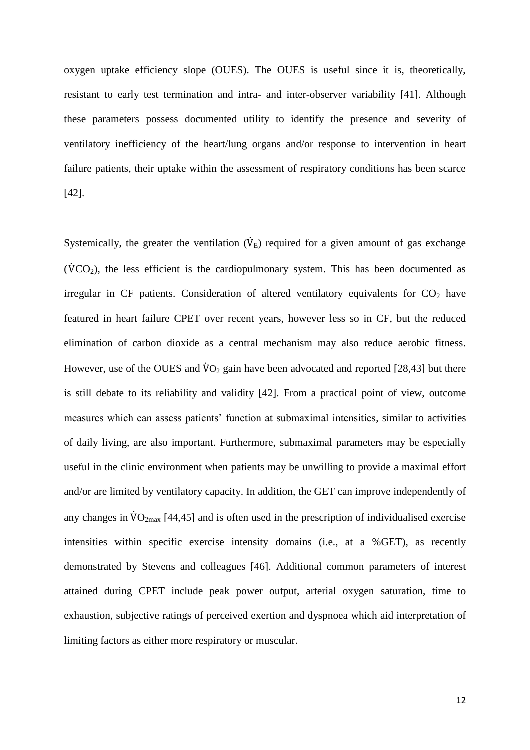oxygen uptake efficiency slope (OUES). The OUES is useful since it is, theoretically, resistant to early test termination and intra- and inter-observer variability [41]. Although these parameters possess documented utility to identify the presence and severity of ventilatory inefficiency of the heart/lung organs and/or response to intervention in heart failure patients, their uptake within the assessment of respiratory conditions has been scarce [42].

Systemically, the greater the ventilation  $(\dot{V}_E)$  required for a given amount of gas exchange  $(\dot{V}CO_2)$ , the less efficient is the cardiopulmonary system. This has been documented as irregular in CF patients. Consideration of altered ventilatory equivalents for  $CO<sub>2</sub>$  have featured in heart failure CPET over recent years, however less so in CF, but the reduced elimination of carbon dioxide as a central mechanism may also reduce aerobic fitness. However, use of the OUES and  $\dot{V}O_2$  gain have been advocated and reported [28,43] but there is still debate to its reliability and validity [42]. From a practical point of view, outcome measures which can assess patients' function at submaximal intensities, similar to activities of daily living, are also important. Furthermore, submaximal parameters may be especially useful in the clinic environment when patients may be unwilling to provide a maximal effort and/or are limited by ventilatory capacity. In addition, the GET can improve independently of any changes in  $\rm \dot{V}O_{2max}$  [44,45] and is often used in the prescription of individualised exercise intensities within specific exercise intensity domains (i.e., at a %GET), as recently demonstrated by Stevens and colleagues [46]. Additional common parameters of interest attained during CPET include peak power output, arterial oxygen saturation, time to exhaustion, subjective ratings of perceived exertion and dyspnoea which aid interpretation of limiting factors as either more respiratory or muscular.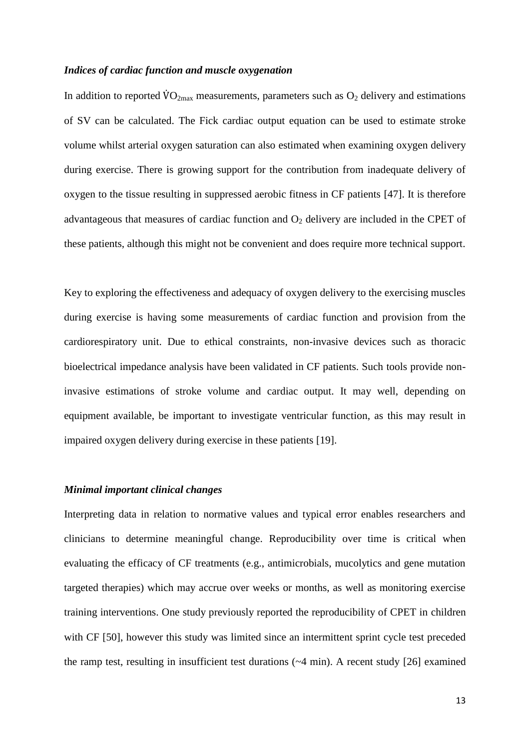## *Indices of cardiac function and muscle oxygenation*

In addition to reported  $\rm \dot{V}O_{2max}$  measurements, parameters such as  $O_2$  delivery and estimations of SV can be calculated. The Fick cardiac output equation can be used to estimate stroke volume whilst arterial oxygen saturation can also estimated when examining oxygen delivery during exercise. There is growing support for the contribution from inadequate delivery of oxygen to the tissue resulting in suppressed aerobic fitness in CF patients [47]. It is therefore advantageous that measures of cardiac function and  $O_2$  delivery are included in the CPET of these patients, although this might not be convenient and does require more technical support.

Key to exploring the effectiveness and adequacy of oxygen delivery to the exercising muscles during exercise is having some measurements of cardiac function and provision from the cardiorespiratory unit. Due to ethical constraints, non-invasive devices such as thoracic bioelectrical impedance analysis have been validated in CF patients. Such tools provide noninvasive estimations of stroke volume and cardiac output. It may well, depending on equipment available, be important to investigate ventricular function, as this may result in impaired oxygen delivery during exercise in these patients [19].

#### *Minimal important clinical changes*

Interpreting data in relation to normative values and typical error enables researchers and clinicians to determine meaningful change. Reproducibility over time is critical when evaluating the efficacy of CF treatments (e.g., antimicrobials, mucolytics and gene mutation targeted therapies) which may accrue over weeks or months, as well as monitoring exercise training interventions. One study previously reported the reproducibility of CPET in children with CF [50], however this study was limited since an intermittent sprint cycle test preceded the ramp test, resulting in insufficient test durations (~4 min). A recent study [26] examined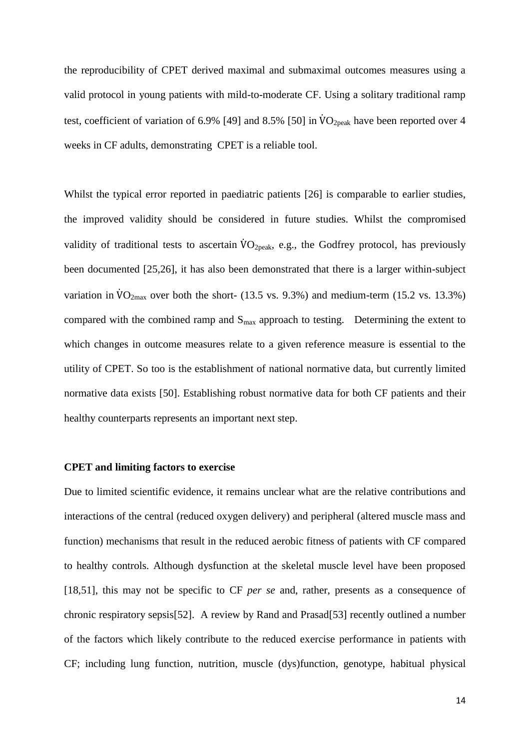the reproducibility of CPET derived maximal and submaximal outcomes measures using a valid protocol in young patients with mild-to-moderate CF. Using a solitary traditional ramp test, coefficient of variation of 6.9% [49] and 8.5% [50] in  $VO_{2peak}$  have been reported over 4 weeks in CF adults, demonstrating CPET is a reliable tool.

Whilst the typical error reported in paediatric patients [26] is comparable to earlier studies, the improved validity should be considered in future studies. Whilst the compromised validity of traditional tests to ascertain  $\rm \ddot{VO}_{2peak}$ , e.g., the Godfrey protocol, has previously been documented [25,26], it has also been demonstrated that there is a larger within-subject variation in  $\rm \ddot{V}O_{2max}$  over both the short- (13.5 vs. 9.3%) and medium-term (15.2 vs. 13.3%) compared with the combined ramp and  $S_{\text{max}}$  approach to testing. Determining the extent to which changes in outcome measures relate to a given reference measure is essential to the utility of CPET. So too is the establishment of national normative data, but currently limited normative data exists [50]. Establishing robust normative data for both CF patients and their healthy counterparts represents an important next step.

## **CPET and limiting factors to exercise**

Due to limited scientific evidence, it remains unclear what are the relative contributions and interactions of the central (reduced oxygen delivery) and peripheral (altered muscle mass and function) mechanisms that result in the reduced aerobic fitness of patients with CF compared to healthy controls. Although dysfunction at the skeletal muscle level have been proposed [18,51], this may not be specific to CF *per se* and, rather, presents as a consequence of chronic respiratory sepsis[52]. A review by Rand and Prasad[53] recently outlined a number of the factors which likely contribute to the reduced exercise performance in patients with CF; including lung function, nutrition, muscle (dys)function, genotype, habitual physical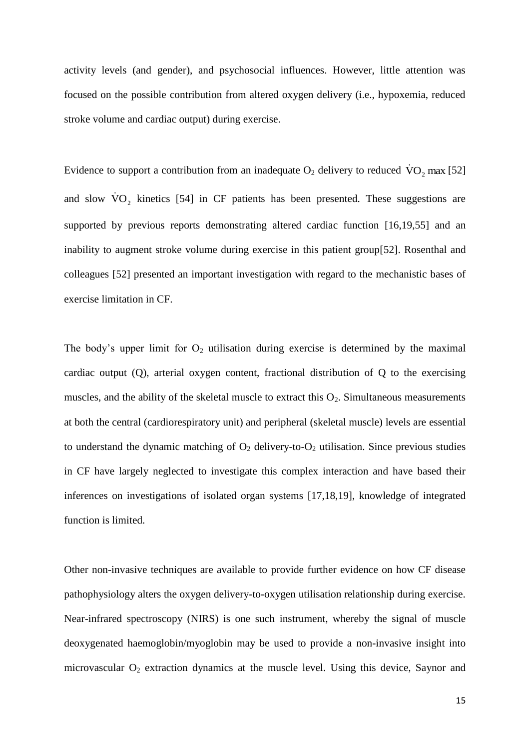activity levels (and gender), and psychosocial influences. However, little attention was focused on the possible contribution from altered oxygen delivery (i.e., hypoxemia, reduced stroke volume and cardiac output) during exercise.

Evidence to support a contribution from an inadequate  $O_2$  delivery to reduced  $\dot{V}O_2$  max [52] and slow  $\dot{V}O_2$  kinetics [54] in CF patients has been presented. These suggestions are supported by previous reports demonstrating altered cardiac function [16,19,55] and an inability to augment stroke volume during exercise in this patient group[52]. Rosenthal and colleagues [52] presented an important investigation with regard to the mechanistic bases of exercise limitation in CF.

The body's upper limit for  $O_2$  utilisation during exercise is determined by the maximal cardiac output (Q), arterial oxygen content, fractional distribution of Q to the exercising muscles, and the ability of the skeletal muscle to extract this  $O_2$ . Simultaneous measurements at both the central (cardiorespiratory unit) and peripheral (skeletal muscle) levels are essential to understand the dynamic matching of  $O_2$  delivery-to- $O_2$  utilisation. Since previous studies in CF have largely neglected to investigate this complex interaction and have based their inferences on investigations of isolated organ systems [17,18,19], knowledge of integrated function is limited.

Other non-invasive techniques are available to provide further evidence on how CF disease pathophysiology alters the oxygen delivery-to-oxygen utilisation relationship during exercise. Near-infrared spectroscopy (NIRS) is one such instrument, whereby the signal of muscle deoxygenated haemoglobin/myoglobin may be used to provide a non-invasive insight into microvascular  $O_2$  extraction dynamics at the muscle level. Using this device, Saynor and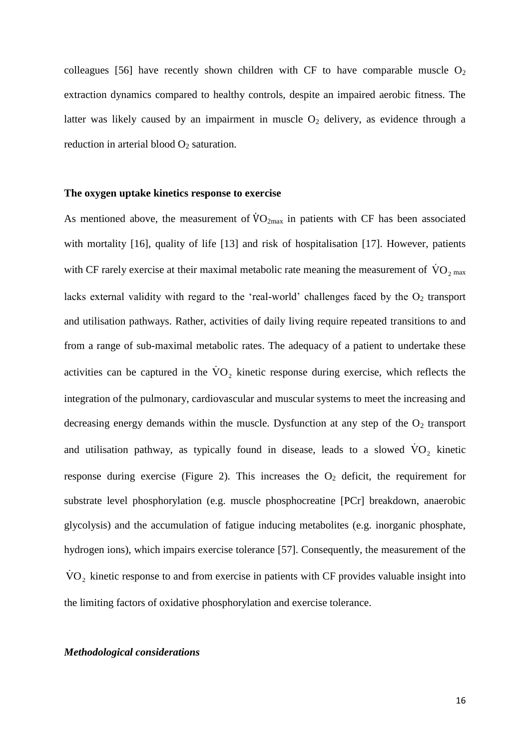colleagues [56] have recently shown children with CF to have comparable muscle  $O_2$ extraction dynamics compared to healthy controls, despite an impaired aerobic fitness. The latter was likely caused by an impairment in muscle  $O_2$  delivery, as evidence through a reduction in arterial blood  $O_2$  saturation.

### **The oxygen uptake kinetics response to exercise**

As mentioned above, the measurement of  $\rm{VO_{2max}}$  in patients with CF has been associated with mortality [16], quality of life [13] and risk of hospitalisation [17]. However, patients with CF rarely exercise at their maximal metabolic rate meaning the measurement of  $\rm \dot{VO}_{2\,max}$ lacks external validity with regard to the 'real-world' challenges faced by the  $O<sub>2</sub>$  transport and utilisation pathways. Rather, activities of daily living require repeated transitions to and from a range of sub-maximal metabolic rates. The adequacy of a patient to undertake these activities can be captured in the  $\rm \dot{VO}_{2}$  kinetic response during exercise, which reflects the integration of the pulmonary, cardiovascular and muscular systems to meet the increasing and decreasing energy demands within the muscle. Dysfunction at any step of the  $O_2$  transport and utilisation pathway, as typically found in disease, leads to a slowed  $\rm{VO}_{2}$  kinetic response during exercise (Figure 2). This increases the  $O<sub>2</sub>$  deficit, the requirement for substrate level phosphorylation (e.g. muscle phosphocreatine [PCr] breakdown, anaerobic glycolysis) and the accumulation of fatigue inducing metabolites (e.g. inorganic phosphate, hydrogen ions), which impairs exercise tolerance [57]. Consequently, the measurement of the  $\rm \dot{VO}_{2}$  kinetic response to and from exercise in patients with CF provides valuable insight into the limiting factors of oxidative phosphorylation and exercise tolerance.

### *Methodological considerations*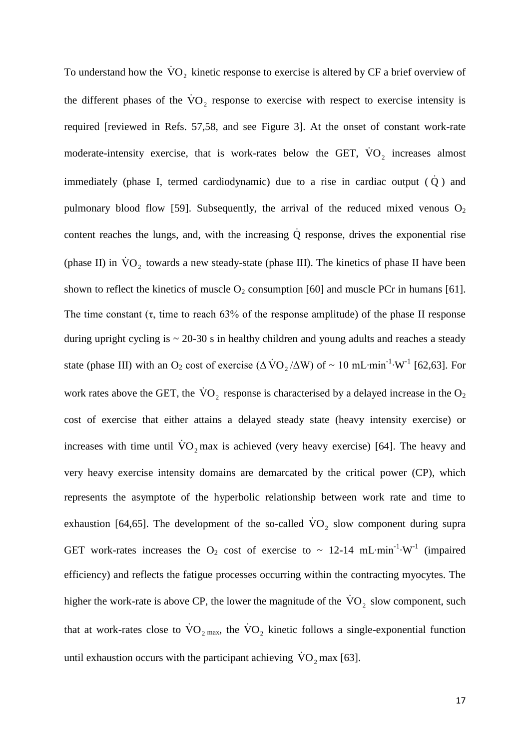To understand how the  $\dot{V}O_2$  kinetic response to exercise is altered by CF a brief overview of the different phases of the  $\rm \dot{VO}_{2}$  response to exercise with respect to exercise intensity is required [reviewed in Refs. 57,58, and see Figure 3]. At the onset of constant work-rate moderate-intensity exercise, that is work-rates below the GET,  $\dot{V}O_2$  increases almost immediately (phase I, termed cardiodynamic) due to a rise in cardiac output  $(\dot{Q})$  and pulmonary blood flow [59]. Subsequently, the arrival of the reduced mixed venous  $O_2$ content reaches the lungs, and, with the increasing  $\dot{Q}$  response, drives the exponential rise (phase II) in  $\rm \dot{VO}_{2}$  towards a new steady-state (phase III). The kinetics of phase II have been shown to reflect the kinetics of muscle  $O_2$  consumption [60] and muscle PCr in humans [61]. The time constant  $(\tau)$ , time to reach 63% of the response amplitude) of the phase II response during upright cycling is  $\sim$  20-30 s in healthy children and young adults and reaches a steady state (phase III) with an O<sub>2</sub> cost of exercise ( $\Delta \text{VO}_2/\Delta W$ ) of ~ 10 mL⋅min<sup>-1</sup>⋅W<sup>-1</sup> [62,63]. For work rates above the GET, the  $\rm \dot{VO}_2$  response is characterised by a delayed increase in the  $\rm O_2$ cost of exercise that either attains a delayed steady state (heavy intensity exercise) or increases with time until  $\rm \dot{VO}_2$  max is achieved (very heavy exercise) [64]. The heavy and very heavy exercise intensity domains are demarcated by the critical power (CP), which represents the asymptote of the hyperbolic relationship between work rate and time to exhaustion [64,65]. The development of the so-called  $\rm \dot{VO}_{2}$  slow component during supra GET work-rates increases the O<sub>2</sub> cost of exercise to ~ 12-14 mL⋅min<sup>-1</sup>⋅W<sup>-1</sup> (impaired efficiency) and reflects the fatigue processes occurring within the contracting myocytes. The higher the work-rate is above CP, the lower the magnitude of the  $\rm \dot{VO}_{2}$  slow component, such that at work-rates close to  $\rm \dot{VO}_{2~max}$ , the  $\rm \dot{VO}_{2}$  kinetic follows a single-exponential function until exhaustion occurs with the participant achieving  $\text{VO}_2$  max [63].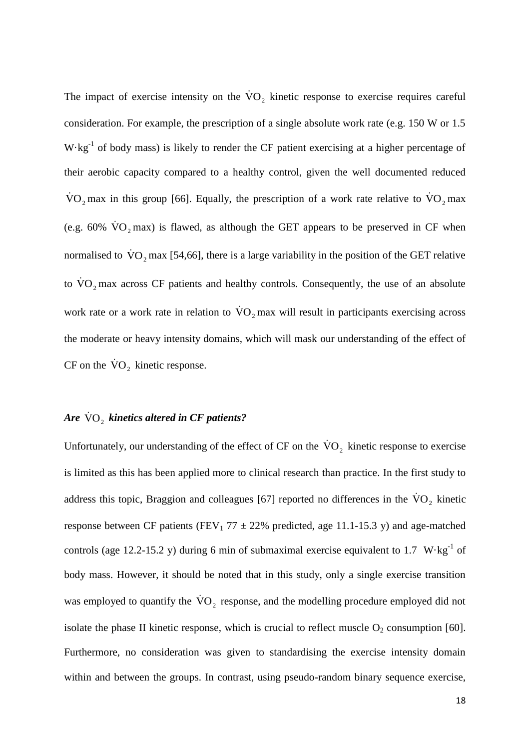The impact of exercise intensity on the  $\rm \dot{VO}_{2}$  kinetic response to exercise requires careful consideration. For example, the prescription of a single absolute work rate (e.g. 150 W or 1.5  $W \cdot kg^{-1}$  of body mass) is likely to render the CF patient exercising at a higher percentage of their aerobic capacity compared to a healthy control, given the well documented reduced VO<sub>2</sub> max in this group [66]. Equally, the prescription of a work rate relative to  $\rm{VO}_{2}$  max (e.g. 60%  $\dot{V}O_2$  max) is flawed, as although the GET appears to be preserved in CF when normalised to  $\rm \dot{VO}_2$  max [54,66], there is a large variability in the position of the GET relative to  $\rm \dot{VO}_{2}$  max across CF patients and healthy controls. Consequently, the use of an absolute work rate or a work rate in relation to  $\rm \dot{VO}_2$  max will result in participants exercising across the moderate or heavy intensity domains, which will mask our understanding of the effect of CF on the  $\rm \dot{VO}_2$  kinetic response.

# $\bm{A}$ re  $\dot{\bm{\nabla}}$ O<sub>2</sub> kinetics altered in CF patients?

Unfortunately, our understanding of the effect of CF on the  $\rm \dot{VO}_{2}$  kinetic response to exercise is limited as this has been applied more to clinical research than practice. In the first study to address this topic, Braggion and colleagues [67] reported no differences in the  $\rm \dot{VO}_{2}$  kinetic response between CF patients (FEV<sub>1</sub> 77  $\pm$  22% predicted, age 11.1-15.3 y) and age-matched controls (age 12.2-15.2 y) during 6 min of submaximal exercise equivalent to 1.7 W·kg<sup>-1</sup> of body mass. However, it should be noted that in this study, only a single exercise transition was employed to quantify the  $\rm \dot{VO}_{2}$  response, and the modelling procedure employed did not isolate the phase II kinetic response, which is crucial to reflect muscle  $O_2$  consumption [60]. Furthermore, no consideration was given to standardising the exercise intensity domain within and between the groups. In contrast, using pseudo-random binary sequence exercise,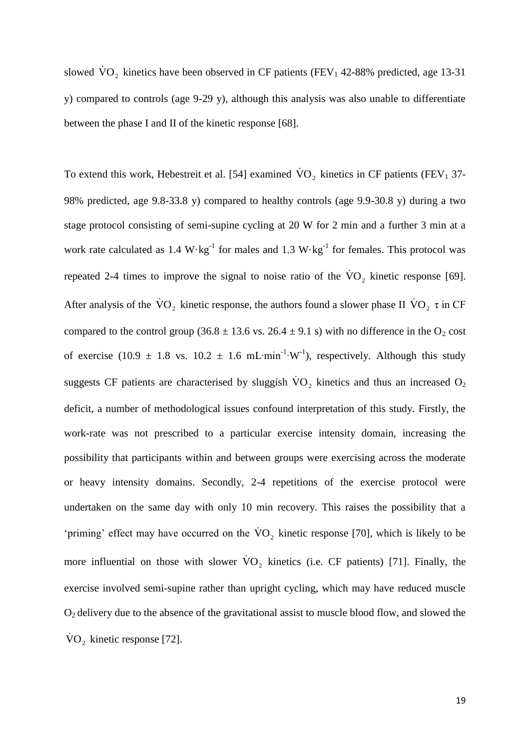slowed  $\rm \dot{VO}_{2}$  kinetics have been observed in CF patients (FEV<sub>1</sub> 42-88% predicted, age 13-31 y) compared to controls (age 9-29 y), although this analysis was also unable to differentiate between the phase I and II of the kinetic response [68].

To extend this work, Hebestreit et al. [54] examined  $\rm \dot{VO}_{2}$  kinetics in CF patients (FEV<sub>1</sub> 37-98% predicted, age 9.8-33.8 y) compared to healthy controls (age 9.9-30.8 y) during a two stage protocol consisting of semi-supine cycling at 20 W for 2 min and a further 3 min at a work rate calculated as 1.4  $W \cdot kg^{-1}$  for males and 1.3  $W \cdot kg^{-1}$  for females. This protocol was repeated 2-4 times to improve the signal to noise ratio of the  $\rm \dot{VO}_{2}$  kinetic response [69]. After analysis of the  $\rm \dot{VO}_2$  kinetic response, the authors found a slower phase II  $\rm \dot{VO}_2$   $\tau$  in CF compared to the control group (36.8  $\pm$  13.6 vs. 26.4  $\pm$  9.1 s) with no difference in the O<sub>2</sub> cost of exercise (10.9  $\pm$  1.8 vs. 10.2  $\pm$  1.6 mL⋅min<sup>-1</sup>⋅W<sup>-1</sup>), respectively. Although this study suggests CF patients are characterised by sluggish  $\rm \dot{VO}_{2}$  kinetics and thus an increased O<sub>2</sub> deficit, a number of methodological issues confound interpretation of this study. Firstly, the work-rate was not prescribed to a particular exercise intensity domain, increasing the possibility that participants within and between groups were exercising across the moderate or heavy intensity domains. Secondly, 2-4 repetitions of the exercise protocol were undertaken on the same day with only 10 min recovery. This raises the possibility that a 'priming' effect may have occurred on the  $\rm \dot{VO}_{2}$  kinetic response [70], which is likely to be more influential on those with slower  $\rm \dot{VO}_{2}$  kinetics (i.e. CF patients) [71]. Finally, the exercise involved semi-supine rather than upright cycling, which may have reduced muscle  $O<sub>2</sub>$  delivery due to the absence of the gravitational assist to muscle blood flow, and slowed the  $\text{VO}_2$  kinetic response [72].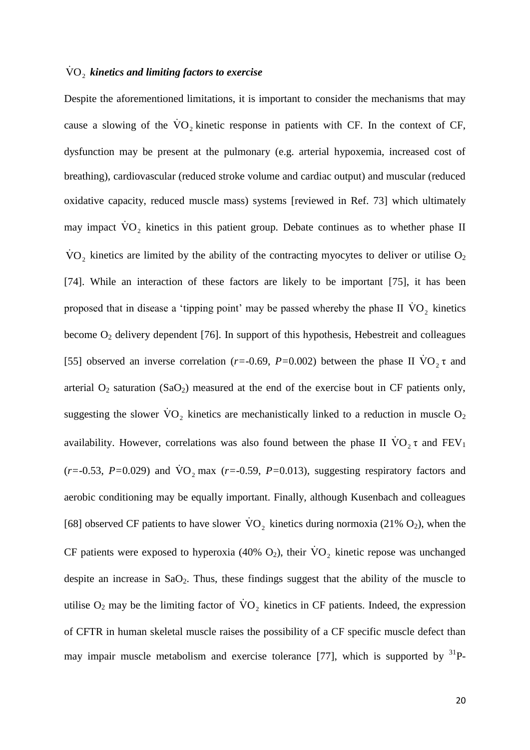# $\rm \dot{VO}_{2}$  kinetics and limiting factors to exercise

Despite the aforementioned limitations, it is important to consider the mechanisms that may cause a slowing of the  $\rm \dot{VO}_{2}$  kinetic response in patients with CF. In the context of CF, dysfunction may be present at the pulmonary (e.g. arterial hypoxemia, increased cost of breathing), cardiovascular (reduced stroke volume and cardiac output) and muscular (reduced oxidative capacity, reduced muscle mass) systems [reviewed in Ref. 73] which ultimately may impact  $\rm \dot{VO}_{2}$  kinetics in this patient group. Debate continues as to whether phase II  $\rm \dot{VO}_{2}$  kinetics are limited by the ability of the contracting myocytes to deliver or utilise O<sub>2</sub> [74]. While an interaction of these factors are likely to be important [75], it has been proposed that in disease a 'tipping point' may be passed whereby the phase II  $\rm \dot{VO}_{2}$  kinetics become  $O_2$  delivery dependent [76]. In support of this hypothesis, Hebestreit and colleagues [55] observed an inverse correlation ( $r = -0.69$ ,  $P = 0.002$ ) between the phase II  $\text{VO}_2 \tau$  and arterial  $O_2$  saturation (Sa $O_2$ ) measured at the end of the exercise bout in CF patients only, suggesting the slower  $\rm \dot{VO}_{2}$  kinetics are mechanistically linked to a reduction in muscle O<sub>2</sub> availability. However, correlations was also found between the phase II  $\text{VO}_2 \tau$  and  $\text{FEV}_1$  $(r=-0.53, P=0.029)$  and  $\overline{VO}_2$  max  $(r=-0.59, P=0.013)$ , suggesting respiratory factors and aerobic conditioning may be equally important. Finally, although Kusenbach and colleagues [68] observed CF patients to have slower  $\rm \dot{VO}_{2}$  kinetics during normoxia (21% O<sub>2</sub>), when the CF patients were exposed to hyperoxia (40%  $O_2$ ), their  $\rm \dot{VO}_{2}$  kinetic repose was unchanged despite an increase in  $SaO<sub>2</sub>$ . Thus, these findings suggest that the ability of the muscle to utilise  $O_2$  may be the limiting factor of  $\text{VO}_2$  kinetics in CF patients. Indeed, the expression of CFTR in human skeletal muscle raises the possibility of a CF specific muscle defect than may impair muscle metabolism and exercise tolerance [77], which is supported by  $31P$ -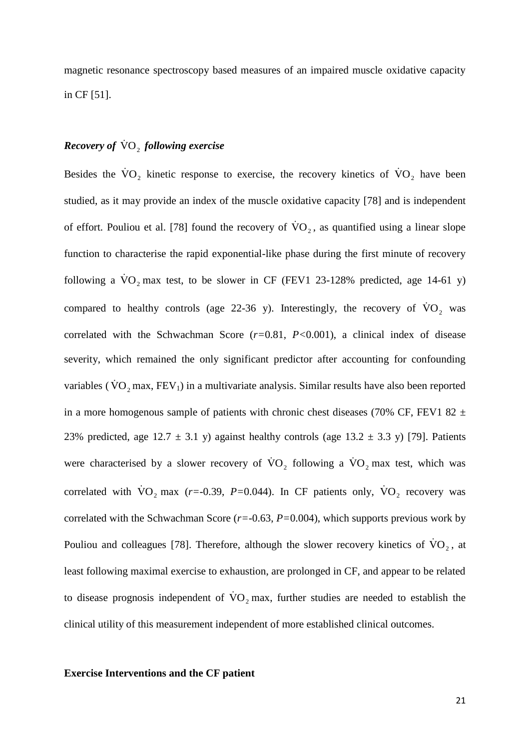magnetic resonance spectroscopy based measures of an impaired muscle oxidative capacity in CF [51].

# **Recovery of**  $\overline{\text{VO}}_2$  **following exercise**

Besides the  $\rm \dot{VO}_{2}$  kinetic response to exercise, the recovery kinetics of  $\rm \dot{VO}_{2}$  have been studied, as it may provide an index of the muscle oxidative capacity [78] and is independent of effort. Pouliou et al. [78] found the recovery of  $\text{VO}_2$ , as quantified using a linear slope function to characterise the rapid exponential-like phase during the first minute of recovery following a  $\text{VO}_2$  max test, to be slower in CF (FEV1 23-128% predicted, age 14-61 y) compared to healthy controls (age 22-36 y). Interestingly, the recovery of  $\rm \dot{VO}_{2}$  was correlated with the Schwachman Score (*r=*0.81, *P<*0.001), a clinical index of disease severity, which remained the only significant predictor after accounting for confounding variables ( $\rm \dot{VO}_2$  max,  $\rm FEV_1$ ) in a multivariate analysis. Similar results have also been reported in a more homogenous sample of patients with chronic chest diseases (70% CF, FEV1 82  $\pm$ 23% predicted, age 12.7  $\pm$  3.1 y) against healthy controls (age 13.2  $\pm$  3.3 y) [79]. Patients were characterised by a slower recovery of  $\text{VO}_2$  following a  $\text{VO}_2$  max test, which was correlated with  $\text{VO}_2$  max (*r*=-0.39, *P*=0.044). In CF patients only,  $\text{VO}_2$  recovery was correlated with the Schwachman Score (*r=*-0.63, *P=*0.004), which supports previous work by Pouliou and colleagues [78]. Therefore, although the slower recovery kinetics of  $\text{VO}_2$ , at least following maximal exercise to exhaustion, are prolonged in CF, and appear to be related to disease prognosis independent of  $\rm \dot{VO}_2$  max, further studies are needed to establish the clinical utility of this measurement independent of more established clinical outcomes.

## **Exercise Interventions and the CF patient**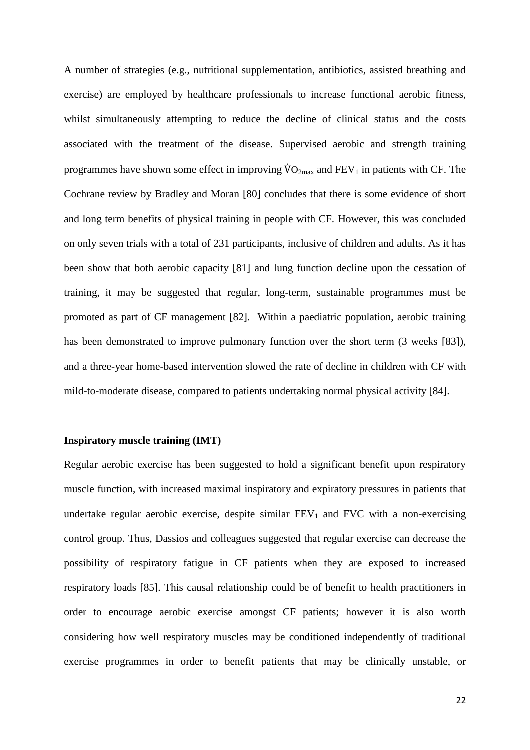A number of strategies (e.g., nutritional supplementation, antibiotics, assisted breathing and exercise) are employed by healthcare professionals to increase functional aerobic fitness, whilst simultaneously attempting to reduce the decline of clinical status and the costs associated with the treatment of the disease. Supervised aerobic and strength training programmes have shown some effect in improving  $\rm \dot{V}O_{2max}$  and  $\rm FEV_1$  in patients with CF. The Cochrane review by Bradley and Moran [80] concludes that there is some evidence of short and long term benefits of physical training in people with CF. However, this was concluded on only seven trials with a total of 231 participants, inclusive of children and adults. As it has been show that both aerobic capacity [81] and lung function decline upon the cessation of training, it may be suggested that regular, long-term, sustainable programmes must be promoted as part of CF management [82]. Within a paediatric population, aerobic training has been demonstrated to improve pulmonary function over the short term (3 weeks [83]), and a three-year home-based intervention slowed the rate of decline in children with CF with mild-to-moderate disease, compared to patients undertaking normal physical activity [84].

### **Inspiratory muscle training (IMT)**

Regular aerobic exercise has been suggested to hold a significant benefit upon respiratory muscle function, with increased maximal inspiratory and expiratory pressures in patients that undertake regular aerobic exercise, despite similar  $FEV_1$  and  $FVC$  with a non-exercising control group. Thus, Dassios and colleagues suggested that regular exercise can decrease the possibility of respiratory fatigue in CF patients when they are exposed to increased respiratory loads [85]. This causal relationship could be of benefit to health practitioners in order to encourage aerobic exercise amongst CF patients; however it is also worth considering how well respiratory muscles may be conditioned independently of traditional exercise programmes in order to benefit patients that may be clinically unstable, or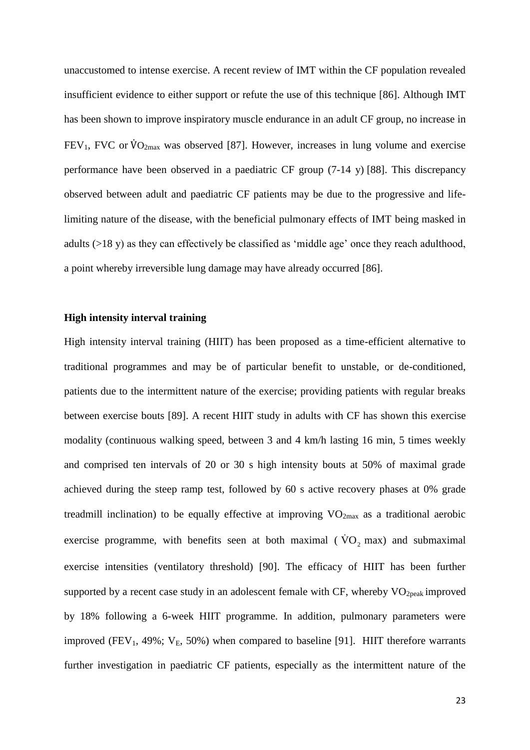unaccustomed to intense exercise. A recent review of IMT within the CF population revealed insufficient evidence to either support or refute the use of this technique [86]. Although IMT has been shown to improve inspiratory muscle endurance in an adult CF group, no increase in  $FEV_1$ , FVC or  $\rm \dot{V}O_{2max}$  was observed [87]. However, increases in lung volume and exercise performance have been observed in a paediatric CF group (7-14 y) [88]. This discrepancy observed between adult and paediatric CF patients may be due to the progressive and lifelimiting nature of the disease, with the beneficial pulmonary effects of IMT being masked in adults (>18 y) as they can effectively be classified as 'middle age' once they reach adulthood, a point whereby irreversible lung damage may have already occurred [86].

## **High intensity interval training**

High intensity interval training (HIIT) has been proposed as a time-efficient alternative to traditional programmes and may be of particular benefit to unstable, or de-conditioned, patients due to the intermittent nature of the exercise; providing patients with regular breaks between exercise bouts [89]. A recent HIIT study in adults with CF has shown this exercise modality (continuous walking speed, between 3 and 4 km/h lasting 16 min, 5 times weekly and comprised ten intervals of 20 or 30 s high intensity bouts at 50% of maximal grade achieved during the steep ramp test, followed by 60 s active recovery phases at 0% grade treadmill inclination) to be equally effective at improving  $VO_{2max}$  as a traditional aerobic exercise programme, with benefits seen at both maximal ( $\dot{V}O_2$  max) and submaximal exercise intensities (ventilatory threshold) [90]. The efficacy of HIIT has been further supported by a recent case study in an adolescent female with CF, whereby  $VO_{2\text{peak}}$  improved by 18% following a 6-week HIIT programme. In addition, pulmonary parameters were improved (FEV<sub>1</sub>, 49%;  $V_E$ , 50%) when compared to baseline [91]. HIIT therefore warrants further investigation in paediatric CF patients, especially as the intermittent nature of the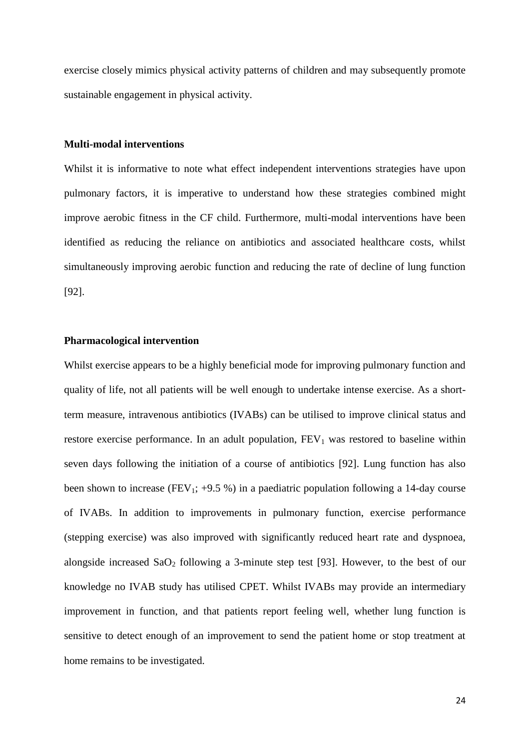exercise closely mimics physical activity patterns of children and may subsequently promote sustainable engagement in physical activity.

# **Multi-modal interventions**

Whilst it is informative to note what effect independent interventions strategies have upon pulmonary factors, it is imperative to understand how these strategies combined might improve aerobic fitness in the CF child. Furthermore, multi-modal interventions have been identified as reducing the reliance on antibiotics and associated healthcare costs, whilst simultaneously improving aerobic function and reducing the rate of decline of lung function [92].

## **Pharmacological intervention**

Whilst exercise appears to be a highly beneficial mode for improving pulmonary function and quality of life, not all patients will be well enough to undertake intense exercise. As a shortterm measure, intravenous antibiotics (IVABs) can be utilised to improve clinical status and restore exercise performance. In an adult population,  $FEV<sub>1</sub>$  was restored to baseline within seven days following the initiation of a course of antibiotics [92]. Lung function has also been shown to increase (FEV<sub>1</sub>; +9.5 %) in a paediatric population following a 14-day course of IVABs. In addition to improvements in pulmonary function, exercise performance (stepping exercise) was also improved with significantly reduced heart rate and dyspnoea, alongside increased SaO<sub>2</sub> following a 3-minute step test [93]. However, to the best of our knowledge no IVAB study has utilised CPET. Whilst IVABs may provide an intermediary improvement in function, and that patients report feeling well, whether lung function is sensitive to detect enough of an improvement to send the patient home or stop treatment at home remains to be investigated.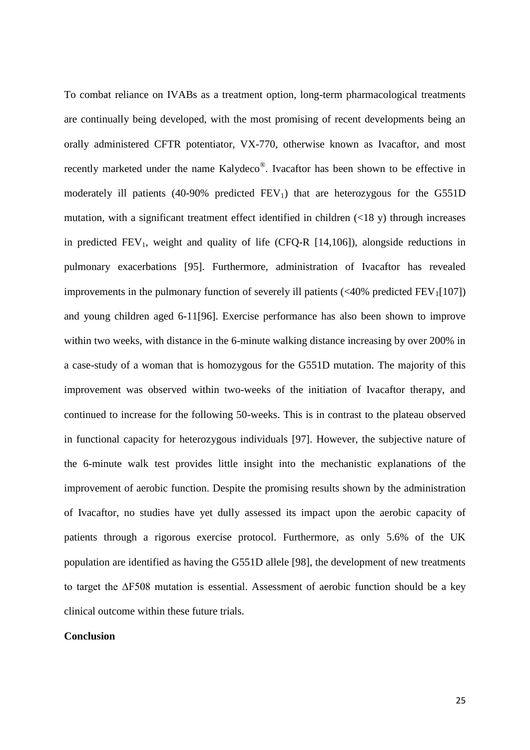To combat reliance on IVABs as a treatment option, long-term pharmacological treatments are continually being developed, with the most promising of recent developments being an orally administered CFTR potentiator, VX-770, otherwise known as Ivacaftor, and most recently marketed under the name Kalydeco®. Ivacaftor has been shown to be effective in moderately ill patients (40-90% predicted  $FEV<sub>1</sub>$ ) that are heterozygous for the G551D mutation, with a significant treatment effect identified in children  $(\langle 18 \text{ y})$  through increases in predicted  $FEV_1$ , weight and quality of life (CFQ-R [14,106]), alongside reductions in pulmonary exacerbations [95]. Furthermore, administration of Ivacaftor has revealed improvements in the pulmonary function of severely ill patients  $\langle \langle 40\% \rangle$  predicted FEV<sub>1</sub>[107]) and young children aged 6-11[96]. Exercise performance has also been shown to improve within two weeks, with distance in the 6-minute walking distance increasing by over 200% in a case-study of a woman that is homozygous for the G551D mutation. The majority of this improvement was observed within two-weeks of the initiation of Ivacaftor therapy, and continued to increase for the following 50-weeks. This is in contrast to the plateau observed in functional capacity for heterozygous individuals [97]. However, the subjective nature of the 6-minute walk test provides little insight into the mechanistic explanations of the improvement of aerobic function. Despite the promising results shown by the administration of Ivacaftor, no studies have yet dully assessed its impact upon the aerobic capacity of patients through a rigorous exercise protocol. Furthermore, as only 5.6% of the UK population are identified as having the G551D allele [98], the development of new treatments to target the ∆F508 mutation is essential. Assessment of aerobic function should be a key clinical outcome within these future trials.

## **Conclusion**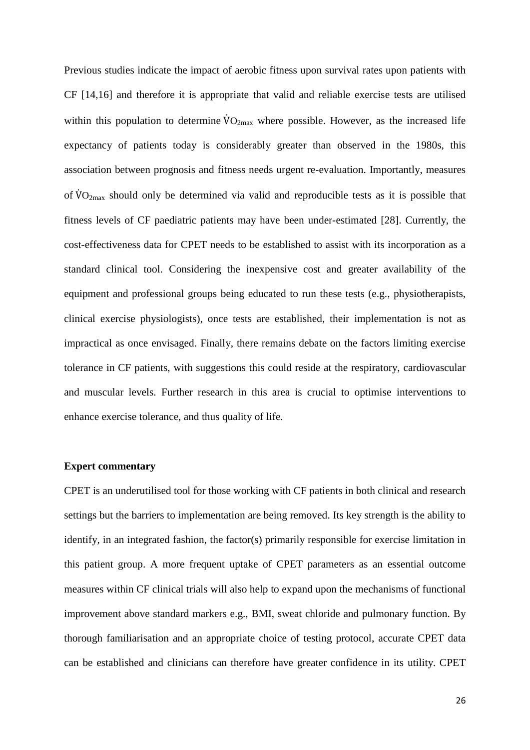Previous studies indicate the impact of aerobic fitness upon survival rates upon patients with CF [14,16] and therefore it is appropriate that valid and reliable exercise tests are utilised within this population to determine  $VO_{2max}$  where possible. However, as the increased life expectancy of patients today is considerably greater than observed in the 1980s, this association between prognosis and fitness needs urgent re-evaluation. Importantly, measures of  $VO_{2max}$  should only be determined via valid and reproducible tests as it is possible that fitness levels of CF paediatric patients may have been under-estimated [28]. Currently, the cost-effectiveness data for CPET needs to be established to assist with its incorporation as a standard clinical tool. Considering the inexpensive cost and greater availability of the equipment and professional groups being educated to run these tests (e.g., physiotherapists, clinical exercise physiologists), once tests are established, their implementation is not as impractical as once envisaged. Finally, there remains debate on the factors limiting exercise tolerance in CF patients, with suggestions this could reside at the respiratory, cardiovascular and muscular levels. Further research in this area is crucial to optimise interventions to enhance exercise tolerance, and thus quality of life.

## **Expert commentary**

CPET is an underutilised tool for those working with CF patients in both clinical and research settings but the barriers to implementation are being removed. Its key strength is the ability to identify, in an integrated fashion, the factor(s) primarily responsible for exercise limitation in this patient group. A more frequent uptake of CPET parameters as an essential outcome measures within CF clinical trials will also help to expand upon the mechanisms of functional improvement above standard markers e.g., BMI, sweat chloride and pulmonary function. By thorough familiarisation and an appropriate choice of testing protocol, accurate CPET data can be established and clinicians can therefore have greater confidence in its utility. CPET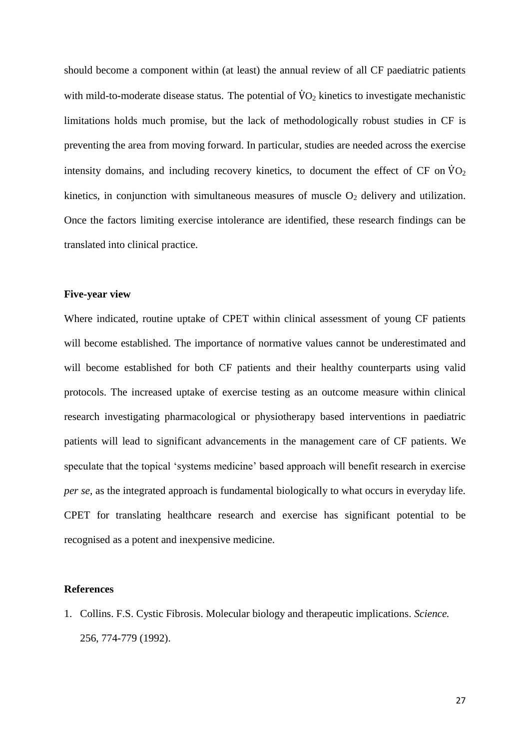should become a component within (at least) the annual review of all CF paediatric patients with mild-to-moderate disease status. The potential of  $\rm\dot{V}O_{2}$  kinetics to investigate mechanistic limitations holds much promise, but the lack of methodologically robust studies in CF is preventing the area from moving forward. In particular, studies are needed across the exercise intensity domains, and including recovery kinetics, to document the effect of CF on  $\dot{V}O_2$ kinetics, in conjunction with simultaneous measures of muscle  $O_2$  delivery and utilization. Once the factors limiting exercise intolerance are identified, these research findings can be translated into clinical practice.

### **Five-year view**

Where indicated, routine uptake of CPET within clinical assessment of young CF patients will become established. The importance of normative values cannot be underestimated and will become established for both CF patients and their healthy counterparts using valid protocols. The increased uptake of exercise testing as an outcome measure within clinical research investigating pharmacological or physiotherapy based interventions in paediatric patients will lead to significant advancements in the management care of CF patients. We speculate that the topical 'systems medicine' based approach will benefit research in exercise *per se*, as the integrated approach is fundamental biologically to what occurs in everyday life. CPET for translating healthcare research and exercise has significant potential to be recognised as a potent and inexpensive medicine.

#### **References**

1. Collins. F.S. Cystic Fibrosis. Molecular biology and therapeutic implications. *Science.* 256, 774-779 (1992).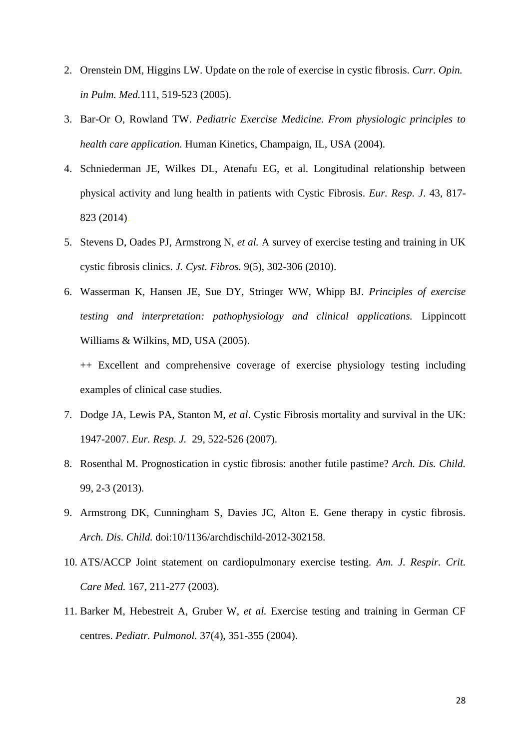- 2. Orenstein DM, Higgins LW. Update on the role of exercise in cystic fibrosis. *Curr. Opin. in Pulm. Med.*111, 519-523 (2005).
- 3. Bar-Or O, Rowland TW. *Pediatric Exercise Medicine. From physiologic principles to health care application.* Human Kinetics, Champaign, IL, USA (2004).
- 4. Schniederman JE, Wilkes DL, Atenafu EG, et al. Longitudinal relationship between physical activity and lung health in patients with Cystic Fibrosis. *Eur. Resp. J*. 43, 817- 823 (2014).
- 5. Stevens D, Oades PJ, Armstrong N, *et al.* A survey of exercise testing and training in UK cystic fibrosis clinics. *J. Cyst. Fibros.* 9(5), 302-306 (2010).
- 6. Wasserman K, Hansen JE, Sue DY, Stringer WW, Whipp BJ. *Principles of exercise testing and interpretation: pathophysiology and clinical applications.* Lippincott Williams & Wilkins, MD, USA (2005).
	- ++ Excellent and comprehensive coverage of exercise physiology testing including examples of clinical case studies.
- 7. Dodge JA, Lewis PA, Stanton M, *et al*. Cystic Fibrosis mortality and survival in the UK: 1947-2007. *Eur. Resp. J.* 29, 522-526 (2007).
- 8. Rosenthal M. Prognostication in cystic fibrosis: another futile pastime? *Arch. Dis. Child.*  99, 2-3 (2013).
- 9. Armstrong DK, Cunningham S, Davies JC, Alton E. Gene therapy in cystic fibrosis. *Arch. Dis. Child.* doi:10/1136/archdischild-2012-302158.
- 10. ATS/ACCP Joint statement on cardiopulmonary exercise testing. *Am. J. Respir. Crit. Care Med.* 167, 211-277 (2003).
- 11. Barker M, Hebestreit A, Gruber W, *et al.* Exercise testing and training in German CF centres. *Pediatr. Pulmonol.* 37(4), 351-355 (2004).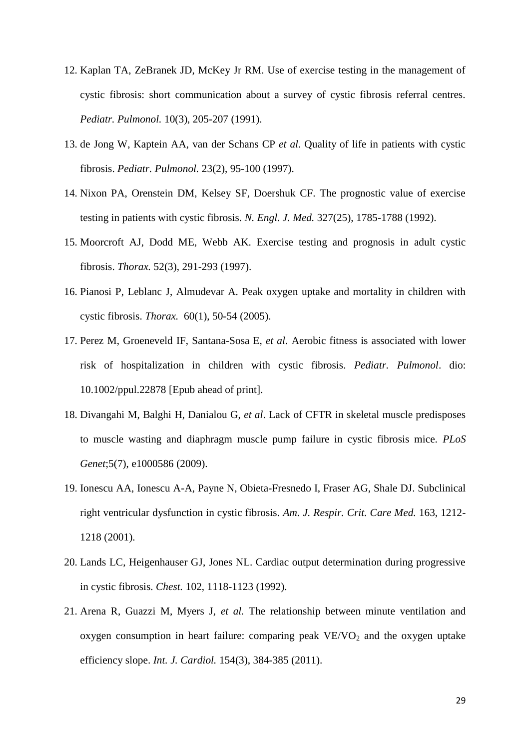- 12. Kaplan TA, ZeBranek JD, McKey Jr RM. Use of exercise testing in the management of cystic fibrosis: short communication about a survey of cystic fibrosis referral centres. *Pediatr. Pulmonol.* 10(3), 205-207 (1991).
- 13. de Jong W, Kaptein AA, van der Schans CP *et al*. Quality of life in patients with cystic fibrosis. *Pediatr. Pulmonol.* 23(2), 95-100 (1997).
- 14. Nixon PA, Orenstein DM, Kelsey SF, Doershuk CF. The prognostic value of exercise testing in patients with cystic fibrosis. *N. Engl. J. Med.* 327(25), 1785-1788 (1992).
- 15. Moorcroft AJ, Dodd ME, Webb AK. Exercise testing and prognosis in adult cystic fibrosis. *Thorax.* 52(3), 291-293 (1997).
- 16. Pianosi P, Leblanc J, Almudevar A. Peak oxygen uptake and mortality in children with cystic fibrosis. *Thorax.* 60(1), 50-54 (2005).
- 17. Perez M, Groeneveld IF, Santana-Sosa E, *et al*. Aerobic fitness is associated with lower risk of hospitalization in children with cystic fibrosis. *Pediatr. Pulmonol*. dio: 10.1002/ppul.22878 [Epub ahead of print].
- 18. Divangahi M, Balghi H, Danialou G, *et al*. Lack of CFTR in skeletal muscle predisposes to muscle wasting and diaphragm muscle pump failure in cystic fibrosis mice. *PLoS Genet*;5(7), e1000586 (2009).
- 19. Ionescu AA, Ionescu A-A, Payne N, Obieta-Fresnedo I, Fraser AG, Shale DJ. Subclinical right ventricular dysfunction in cystic fibrosis. *Am. J. Respir. Crit. Care Med.* 163, 1212- 1218 (2001).
- 20. Lands LC, Heigenhauser GJ, Jones NL. Cardiac output determination during progressive in cystic fibrosis. *Chest.* 102, 1118-1123 (1992).
- 21. Arena R, Guazzi M, Myers J, *et al.* The relationship between minute ventilation and oxygen consumption in heart failure: comparing peak  $VE/VO<sub>2</sub>$  and the oxygen uptake efficiency slope. *Int. J. Cardiol.* 154(3), 384-385 (2011).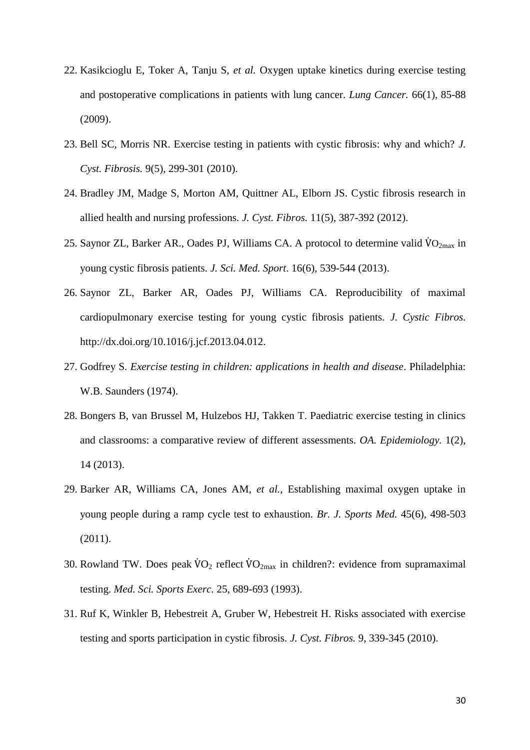- 22. Kasikcioglu E, Toker A, Tanju S, *et al.* Oxygen uptake kinetics during exercise testing and postoperative complications in patients with lung cancer. *Lung Cancer.* 66(1), 85-88 (2009).
- 23. Bell SC, Morris NR. Exercise testing in patients with cystic fibrosis: why and which? *J. Cyst. Fibrosis.* 9(5), 299-301 (2010).
- 24. Bradley JM, Madge S, Morton AM, Quittner AL, Elborn JS. Cystic fibrosis research in allied health and nursing professions. *J. Cyst. Fibros.* 11(5), 387-392 (2012).
- 25. Saynor ZL, Barker AR., Oades PJ, Williams CA. A protocol to determine valid  $\rm{VO}_{2max}$  in young cystic fibrosis patients. *J. Sci. Med. Sport*. 16(6), 539-544 (2013).
- 26. Saynor ZL, Barker AR, Oades PJ, Williams CA. Reproducibility of maximal cardiopulmonary exercise testing for young cystic fibrosis patients. *J. Cystic Fibros.* http://dx.doi.org/10.1016/j.jcf.2013.04.012.
- 27. Godfrey S. *Exercise testing in children: applications in health and disease*. Philadelphia: W.B. Saunders (1974).
- 28. Bongers B, van Brussel M, Hulzebos HJ, Takken T. Paediatric exercise testing in clinics and classrooms: a comparative review of different assessments. *OA. Epidemiology.* 1(2), 14 (2013).
- 29. Barker AR, Williams CA, Jones AM, *et al.,* Establishing maximal oxygen uptake in young people during a ramp cycle test to exhaustion. *Br. J. Sports Med.* 45(6), 498-503 (2011).
- 30. Rowland TW. Does peak  $\dot{V}O_2$  reflect  $\dot{V}O_{2\text{max}}$  in children?: evidence from supramaximal testing. *Med. Sci. Sports Exerc.* 25, 689-693 (1993).
- 31. Ruf K, Winkler B, Hebestreit A, Gruber W, Hebestreit H. Risks associated with exercise testing and sports participation in cystic fibrosis. *J. Cyst. Fibros.* 9, 339-345 (2010).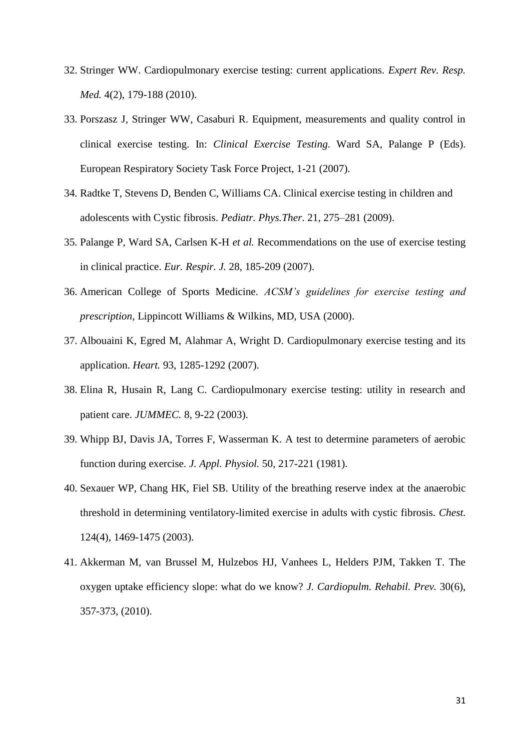- 32. Stringer WW. Cardiopulmonary exercise testing: current applications. *Expert Rev. Resp. Med.* 4(2), 179-188 (2010).
- 33. Porszasz J, Stringer WW, Casaburi R. Equipment, measurements and quality control in clinical exercise testing. In: *Clinical Exercise Testing.* Ward SA, Palange P (Eds). European Respiratory Society Task Force Project, 1-21 (2007).
- 34. Radtke T, Stevens D, Benden C, Williams CA. Clinical exercise testing in children and adolescents with Cystic fibrosis. *Pediatr. Phys.Ther*. 21, 275–281 (2009).
- 35. Palange P, Ward SA, Carlsen K-H *et al.* Recommendations on the use of exercise testing in clinical practice. *Eur. Respir. J.* 28, 185-209 (2007).
- 36. American College of Sports Medicine. *ACSM's guidelines for exercise testing and prescription,* Lippincott Williams & Wilkins, MD, USA (2000).
- 37. Albouaini K, Egred M, Alahmar A, Wright D. Cardiopulmonary exercise testing and its application. *Heart.* 93, 1285-1292 (2007).
- 38. Elina R, Husain R, Lang C. Cardiopulmonary exercise testing: utility in research and patient care. *JUMMEC.* 8, 9-22 (2003).
- 39. Whipp BJ, Davis JA, Torres F, Wasserman K. A test to determine parameters of aerobic function during exercise. *J. Appl. Physiol.* 50, 217-221 (1981).
- 40. Sexauer WP, Chang HK, Fiel SB. Utility of the breathing reserve index at the anaerobic threshold in determining ventilatory-limited exercise in adults with cystic fibrosis. *Chest.*  124(4), 1469-1475 (2003).
- 41. Akkerman M, van Brussel M, Hulzebos HJ, Vanhees L, Helders PJM, Takken T. The oxygen uptake efficiency slope: what do we know? *J. Cardiopulm. Rehabil. Prev.* 30(6), 357-373, (2010).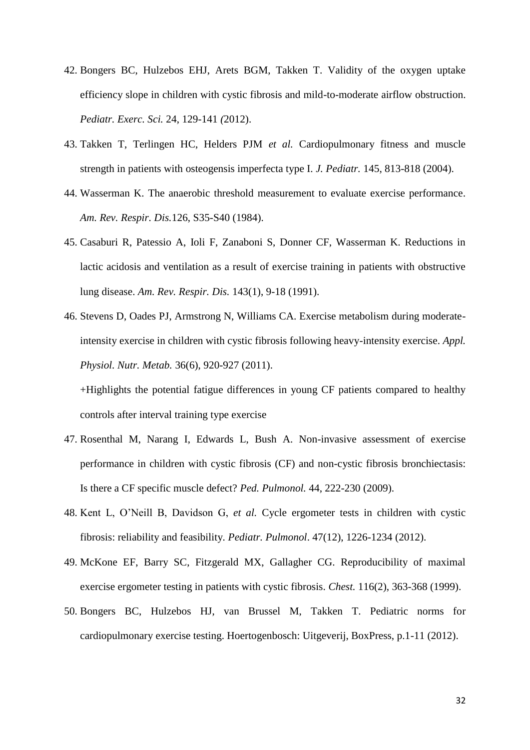- 42. Bongers BC, Hulzebos EHJ, Arets BGM, Takken T. Validity of the oxygen uptake efficiency slope in children with cystic fibrosis and mild-to-moderate airflow obstruction. *Pediatr. Exerc. Sci.* 24, 129-141 *(*2012).
- 43. Takken T, Terlingen HC, Helders PJM *et al.* Cardiopulmonary fitness and muscle strength in patients with osteogensis imperfecta type I. *J. Pediatr.* 145, 813-818 (2004).
- 44. Wasserman K. The anaerobic threshold measurement to evaluate exercise performance. *Am. Rev. Respir. Dis.*126, S35-S40 (1984).
- 45. Casaburi R, Patessio A, Ioli F, Zanaboni S, Donner CF, Wasserman K. Reductions in lactic acidosis and ventilation as a result of exercise training in patients with obstructive lung disease. *Am. Rev. Respir. Dis.* 143(1), 9-18 (1991).
- 46. Stevens D, Oades PJ, Armstrong N, Williams CA. Exercise metabolism during moderateintensity exercise in children with cystic fibrosis following heavy-intensity exercise. *Appl. Physiol. Nutr. Metab.* 36(6), 920-927 (2011).

+Highlights the potential fatigue differences in young CF patients compared to healthy controls after interval training type exercise

- 47. Rosenthal M, Narang I, Edwards L, Bush A. Non-invasive assessment of exercise performance in children with cystic fibrosis (CF) and non-cystic fibrosis bronchiectasis: Is there a CF specific muscle defect? *Ped. Pulmonol.* 44, 222-230 (2009).
- 48. Kent L, O'Neill B, Davidson G, *et al.* Cycle ergometer tests in children with cystic fibrosis: reliability and feasibility. *Pediatr. Pulmonol*. 47(12), 1226-1234 (2012).
- 49. McKone EF, Barry SC, Fitzgerald MX, Gallagher CG. Reproducibility of maximal exercise ergometer testing in patients with cystic fibrosis. *Chest.* 116(2), 363-368 (1999).
- 50. Bongers BC, Hulzebos HJ, van Brussel M, Takken T. Pediatric norms for cardiopulmonary exercise testing. Hoertogenbosch: Uitgeverij, BoxPress, p.1-11 (2012).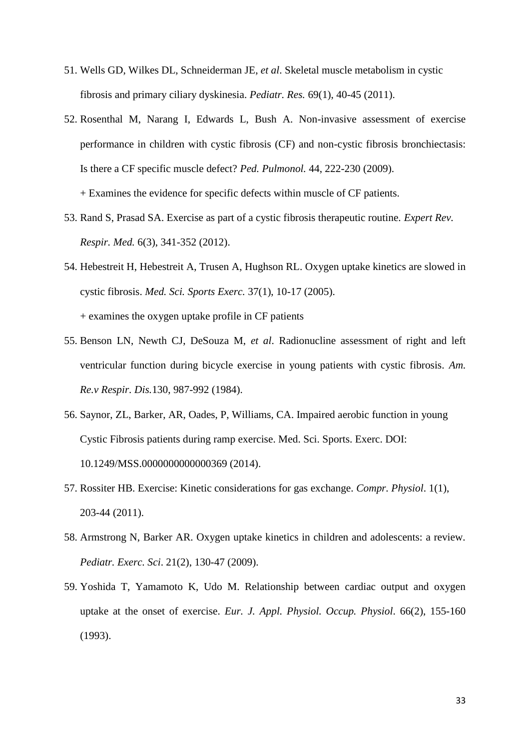- 51. Wells GD, Wilkes DL, Schneiderman JE, *et al*. Skeletal muscle metabolism in cystic fibrosis and primary ciliary dyskinesia. *Pediatr. Res.* 69(1), 40-45 (2011).
- 52. Rosenthal M, Narang I, Edwards L, Bush A. Non-invasive assessment of exercise performance in children with cystic fibrosis (CF) and non-cystic fibrosis bronchiectasis: Is there a CF specific muscle defect? *Ped. Pulmonol.* 44, 222-230 (2009). + Examines the evidence for specific defects within muscle of CF patients.
- 53. Rand S, Prasad SA. Exercise as part of a cystic fibrosis therapeutic routine. *Expert Rev. Respir. Med.* 6(3), 341-352 (2012).
- 54. Hebestreit H, Hebestreit A, Trusen A, Hughson RL. Oxygen uptake kinetics are slowed in cystic fibrosis. *Med. Sci. Sports Exerc.* 37(1), 10-17 (2005). + examines the oxygen uptake profile in CF patients
- 55. Benson LN, Newth CJ, DeSouza M, *et al*. Radionucline assessment of right and left ventricular function during bicycle exercise in young patients with cystic fibrosis. *Am. Re.v Respir. Dis.*130, 987-992 (1984).
- 56. Saynor, ZL, Barker, AR, Oades, P, Williams, CA. Impaired aerobic function in young Cystic Fibrosis patients during ramp exercise. Med. Sci. Sports. Exerc. DOI: 10.1249/MSS.0000000000000369 (2014).
- 57. Rossiter HB. Exercise: Kinetic considerations for gas exchange. *Compr. Physiol*. 1(1), 203-44 (2011).
- 58. Armstrong N, Barker AR. Oxygen uptake kinetics in children and adolescents: a review*. Pediatr. Exerc. Sci*. 21(2), 130-47 (2009).
- 59. Yoshida T, Yamamoto K, Udo M. Relationship between cardiac output and oxygen uptake at the onset of exercise. *Eur. J. Appl. Physiol. Occup. Physiol*. 66(2), 155-160 (1993).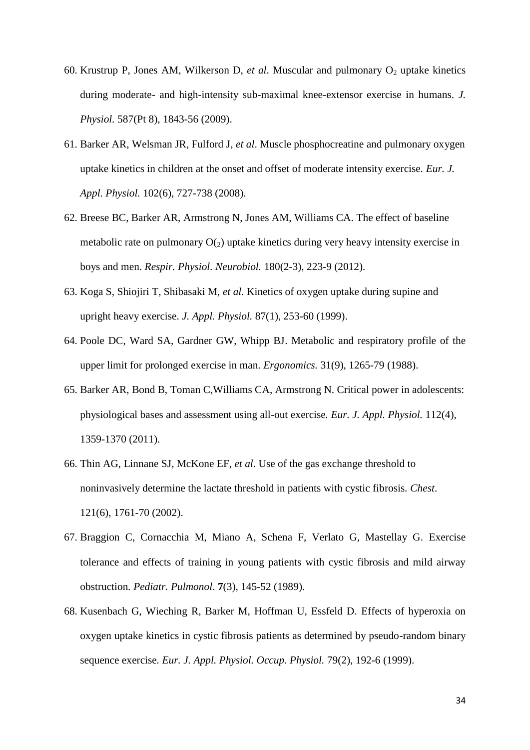- 60. Krustrup P, Jones AM, Wilkerson D, et al. Muscular and pulmonary O<sub>2</sub> uptake kinetics during moderate- and high-intensity sub-maximal knee-extensor exercise in humans. *J. Physiol.* 587(Pt 8), 1843-56 (2009).
- 61. Barker AR, Welsman JR, Fulford J, *et al*. Muscle phosphocreatine and pulmonary oxygen uptake kinetics in children at the onset and offset of moderate intensity exercise*. Eur. J. Appl. Physiol.* 102(6), 727-738 (2008).
- 62. Breese BC, Barker AR, Armstrong N, Jones AM, Williams CA. The effect of baseline metabolic rate on pulmonary  $O(2)$  uptake kinetics during very heavy intensity exercise in boys and men. *Respir. Physiol. Neurobiol.* 180(2-3), 223-9 (2012).
- 63. Koga S, Shiojiri T, Shibasaki M, *et al*. Kinetics of oxygen uptake during supine and upright heavy exercise. *J. Appl. Physiol.* 87(1), 253-60 (1999).
- 64. Poole DC, Ward SA, Gardner GW, Whipp BJ. Metabolic and respiratory profile of the upper limit for prolonged exercise in man. *Ergonomics.* 31(9), 1265-79 (1988).
- 65. Barker AR, Bond B, Toman C,Williams CA, Armstrong N. Critical power in adolescents: physiological bases and assessment using all-out exercise*. Eur. J. Appl. Physiol.* 112(4), 1359-1370 (2011).
- 66. Thin AG, Linnane SJ, McKone EF, *et al*. Use of the gas exchange threshold to noninvasively determine the lactate threshold in patients with cystic fibrosis*. Chest*. 121(6), 1761-70 (2002).
- 67. Braggion C, Cornacchia M, Miano A, Schena F, Verlato G, Mastellay G*.* Exercise tolerance and effects of training in young patients with cystic fibrosis and mild airway obstruction*. Pediatr. Pulmonol*. **7**(3), 145-52 (1989).
- 68. Kusenbach G, Wieching R, Barker M, Hoffman U, Essfeld D. Effects of hyperoxia on oxygen uptake kinetics in cystic fibrosis patients as determined by pseudo-random binary sequence exercise*. Eur. J. Appl. Physiol. Occup. Physiol.* 79(2), 192-6 (1999).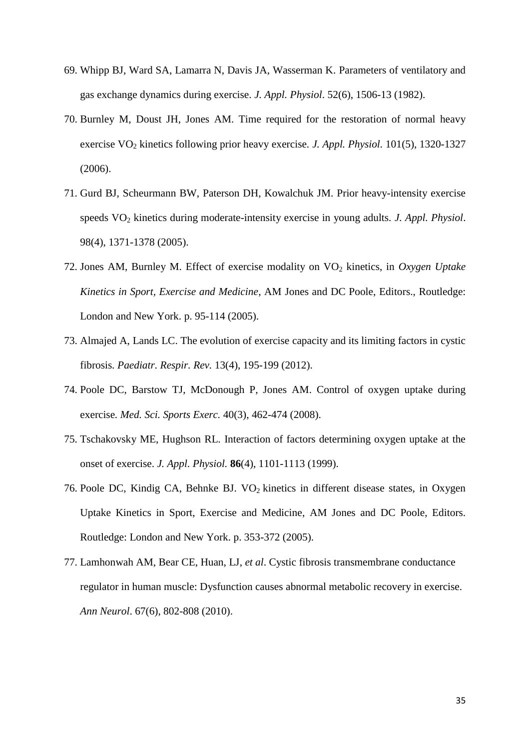- 69. Whipp BJ, Ward SA, Lamarra N, Davis JA, Wasserman K. Parameters of ventilatory and gas exchange dynamics during exercise. *J. Appl. Physiol*. 52(6), 1506-13 (1982).
- 70. Burnley M, Doust JH, Jones AM. Time required for the restoration of normal heavy exercise VO<sub>2</sub> kinetics following prior heavy exercise. *J. Appl. Physiol.* 101(5), 1320-1327 (2006).
- 71. Gurd BJ, Scheurmann BW, Paterson DH, Kowalchuk JM. Prior heavy-intensity exercise speeds VO<sup>2</sup> kinetics during moderate-intensity exercise in young adults*. J. Appl. Physiol*. 98(4), 1371-1378 (2005).
- 72. Jones AM, Burnley M. Effect of exercise modality on VO<sup>2</sup> kinetics, in *Oxygen Uptake Kinetics in Sport, Exercise and Medicine*, AM Jones and DC Poole, Editors., Routledge: London and New York. p. 95-114 (2005).
- 73. Almajed A, Lands LC. The evolution of exercise capacity and its limiting factors in cystic fibrosis*. Paediatr. Respir. Rev.* 13(4), 195-199 (2012).
- 74. Poole DC, Barstow TJ, McDonough P, Jones AM. Control of oxygen uptake during exercise*. Med. Sci. Sports Exerc.* 40(3), 462-474 (2008).
- 75. Tschakovsky ME, Hughson RL. Interaction of factors determining oxygen uptake at the onset of exercise. *J. Appl. Physiol.* **86**(4), 1101-1113 (1999).
- 76. Poole DC, Kindig CA, Behnke BJ.  $VO<sub>2</sub>$  kinetics in different disease states, in Oxygen Uptake Kinetics in Sport, Exercise and Medicine, AM Jones and DC Poole, Editors. Routledge: London and New York. p. 353-372 (2005).
- 77. Lamhonwah AM, Bear CE, Huan, LJ, *et al*. Cystic fibrosis transmembrane conductance regulator in human muscle: Dysfunction causes abnormal metabolic recovery in exercise. *Ann Neurol*. 67(6), 802-808 (2010).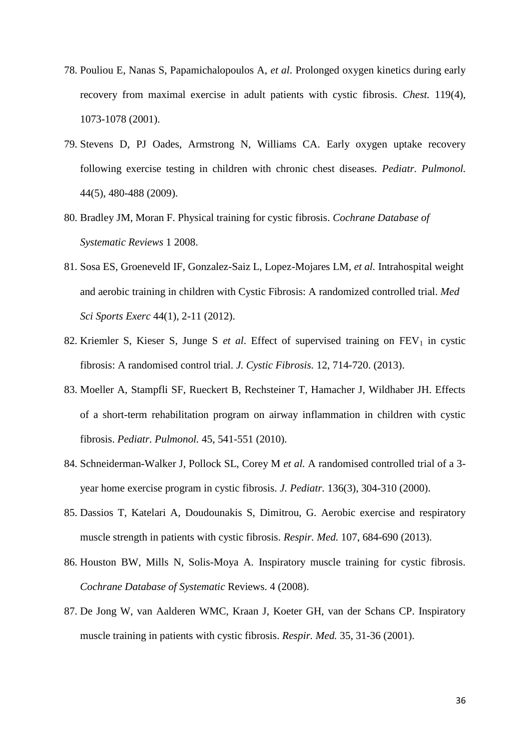- 78. Pouliou E, Nanas S, Papamichalopoulos A, *et al*. Prolonged oxygen kinetics during early recovery from maximal exercise in adult patients with cystic fibrosis*. Chest.* 119(4), 1073-1078 (2001).
- 79. Stevens D, PJ Oades, Armstrong N, Williams CA. Early oxygen uptake recovery following exercise testing in children with chronic chest diseases*. Pediatr. Pulmonol.* 44(5), 480-488 (2009).
- 80. Bradley JM, Moran F. Physical training for cystic fibrosis. *Cochrane Database of Systematic Reviews* 1 2008.
- 81. Sosa ES, Groeneveld IF, Gonzalez-Saiz L, Lopez-Mojares LM, *et al.* Intrahospital weight and aerobic training in children with Cystic Fibrosis: A randomized controlled trial. *Med Sci Sports Exerc* 44(1), 2-11 (2012).
- 82. Kriemler S, Kieser S, Junge S et al. Effect of supervised training on FEV<sub>1</sub> in cystic fibrosis: A randomised control trial. *J. Cystic Fibrosis.* 12, 714-720. (2013).
- 83. Moeller A, Stampfli SF, Rueckert B, Rechsteiner T, Hamacher J, Wildhaber JH. Effects of a short-term rehabilitation program on airway inflammation in children with cystic fibrosis. *Pediatr. Pulmonol.* 45, 541-551 (2010).
- 84. Schneiderman-Walker J, Pollock SL, Corey M *et al.* A randomised controlled trial of a 3 year home exercise program in cystic fibrosis. *J. Pediatr.* 136(3), 304-310 (2000).
- 85. Dassios T, Katelari A, Doudounakis S, Dimitrou, G. Aerobic exercise and respiratory muscle strength in patients with cystic fibrosis. *Respir. Med.* 107, 684-690 (2013).
- 86. Houston BW, Mills N, Solis-Moya A. Inspiratory muscle training for cystic fibrosis. *Cochrane Database of Systematic* Reviews. 4 (2008).
- 87. De Jong W, van Aalderen WMC, Kraan J, Koeter GH, van der Schans CP. Inspiratory muscle training in patients with cystic fibrosis. *Respir. Med.* 35, 31-36 (2001).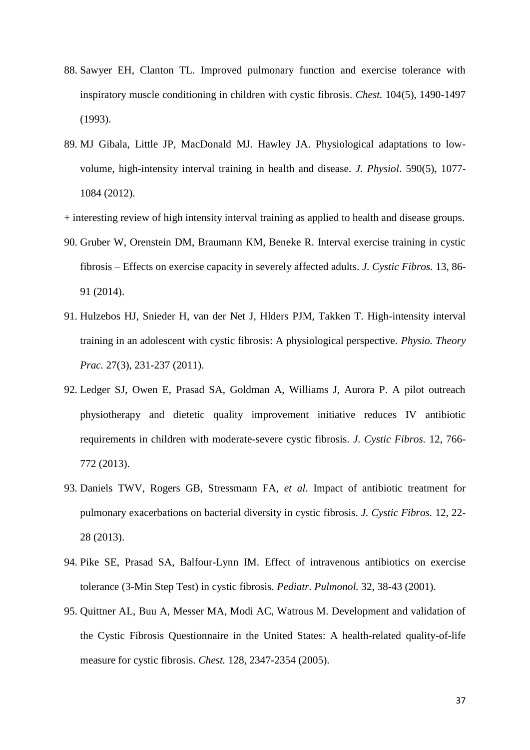- 88. Sawyer EH, Clanton TL. Improved pulmonary function and exercise tolerance with inspiratory muscle conditioning in children with cystic fibrosis. *Chest.* 104(5), 1490-1497 (1993).
- 89. MJ Gibala, Little JP, MacDonald MJ. Hawley JA. Physiological adaptations to lowvolume, high-intensity interval training in health and disease. *J. Physiol*. 590(5), 1077- 1084 (2012).
- + interesting review of high intensity interval training as applied to health and disease groups.
- 90. Gruber W, Orenstein DM, Braumann KM, Beneke R. Interval exercise training in cystic fibrosis – Effects on exercise capacity in severely affected adults. *J. Cystic Fibros.* 13, 86- 91 (2014).
- 91. Hulzebos HJ, Snieder H, van der Net J, Hlders PJM, Takken T. High-intensity interval training in an adolescent with cystic fibrosis: A physiological perspective. *Physio. Theory Prac.* 27(3), 231-237 (2011).
- 92. Ledger SJ, Owen E, Prasad SA, Goldman A, Williams J, Aurora P. A pilot outreach physiotherapy and dietetic quality improvement initiative reduces IV antibiotic requirements in children with moderate-severe cystic fibrosis. *J. Cystic Fibros.* 12, 766- 772 (2013).
- 93. Daniels TWV, Rogers GB, Stressmann FA, *et al*. Impact of antibiotic treatment for pulmonary exacerbations on bacterial diversity in cystic fibrosis. *J. Cystic Fibros.* 12, 22- 28 (2013).
- 94. Pike SE, Prasad SA, Balfour-Lynn IM. Effect of intravenous antibiotics on exercise tolerance (3-Min Step Test) in cystic fibrosis. *Pediatr. Pulmonol.* 32, 38-43 (2001).
- 95. Quittner AL, Buu A, Messer MA, Modi AC, Watrous M. Development and validation of the Cystic Fibrosis Questionnaire in the United States: A health-related quality-of-life measure for cystic fibrosis. *Chest.* 128, 2347-2354 (2005).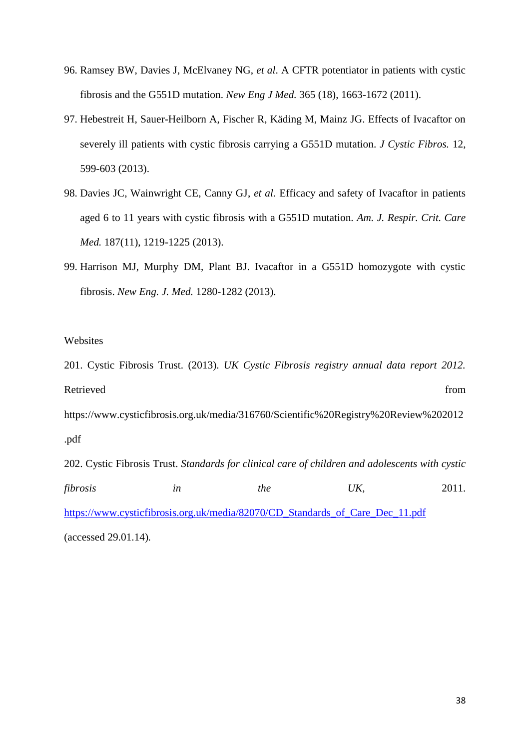- 96. Ramsey BW, Davies J, McElvaney NG, *et al*. A CFTR potentiator in patients with cystic fibrosis and the G551D mutation. *New Eng J Med.* 365 (18), 1663-1672 (2011).
- 97. Hebestreit H, Sauer-Heilborn A, Fischer R, Käding M, Mainz JG. Effects of Ivacaftor on severely ill patients with cystic fibrosis carrying a G551D mutation. *J Cystic Fibros.* 12, 599-603 (2013).
- 98. Davies JC, Wainwright CE, Canny GJ, *et al.* Efficacy and safety of Ivacaftor in patients aged 6 to 11 years with cystic fibrosis with a G551D mutation. *Am. J. Respir. Crit. Care Med.* 187(11), 1219-1225 (2013).
- 99. Harrison MJ, Murphy DM, Plant BJ. Ivacaftor in a G551D homozygote with cystic fibrosis. *New Eng. J. Med.* 1280-1282 (2013).

# Websites

201. Cystic Fibrosis Trust. (2013). *UK Cystic Fibrosis registry annual data report 2012.*  Retrieved from the state of the state of the state of the state of the state of the state of the state of the state of the state of the state of the state of the state of the state of the state of the state of the state of https://www.cysticfibrosis.org.uk/media/316760/Scientific%20Registry%20Review%202012 .pdf 202. Cystic Fibrosis Trust. *Standards for clinical care of children and adolescents with cystic fibrosis in the UK,* 2011. [https://www.cysticfibrosis.org.uk/media/82070/CD\\_Standards\\_of\\_Care\\_Dec\\_11.pdf](https://www.cysticfibrosis.org.uk/media/82070/CD_Standards_of_Care_Dec_11.pdf) (accessed 29.01.14)*.*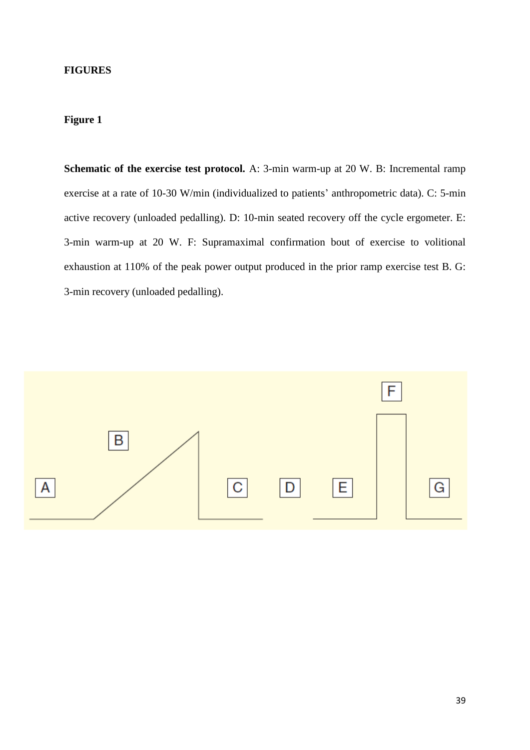# **FIGURES**

# **Figure 1**

**Schematic of the exercise test protocol.** A: 3-min warm-up at 20 W. B: Incremental ramp exercise at a rate of 10-30 W/min (individualized to patients' anthropometric data). C: 5-min active recovery (unloaded pedalling). D: 10-min seated recovery off the cycle ergometer. E: 3-min warm-up at 20 W. F: Supramaximal confirmation bout of exercise to volitional exhaustion at 110% of the peak power output produced in the prior ramp exercise test B. G: 3-min recovery (unloaded pedalling).